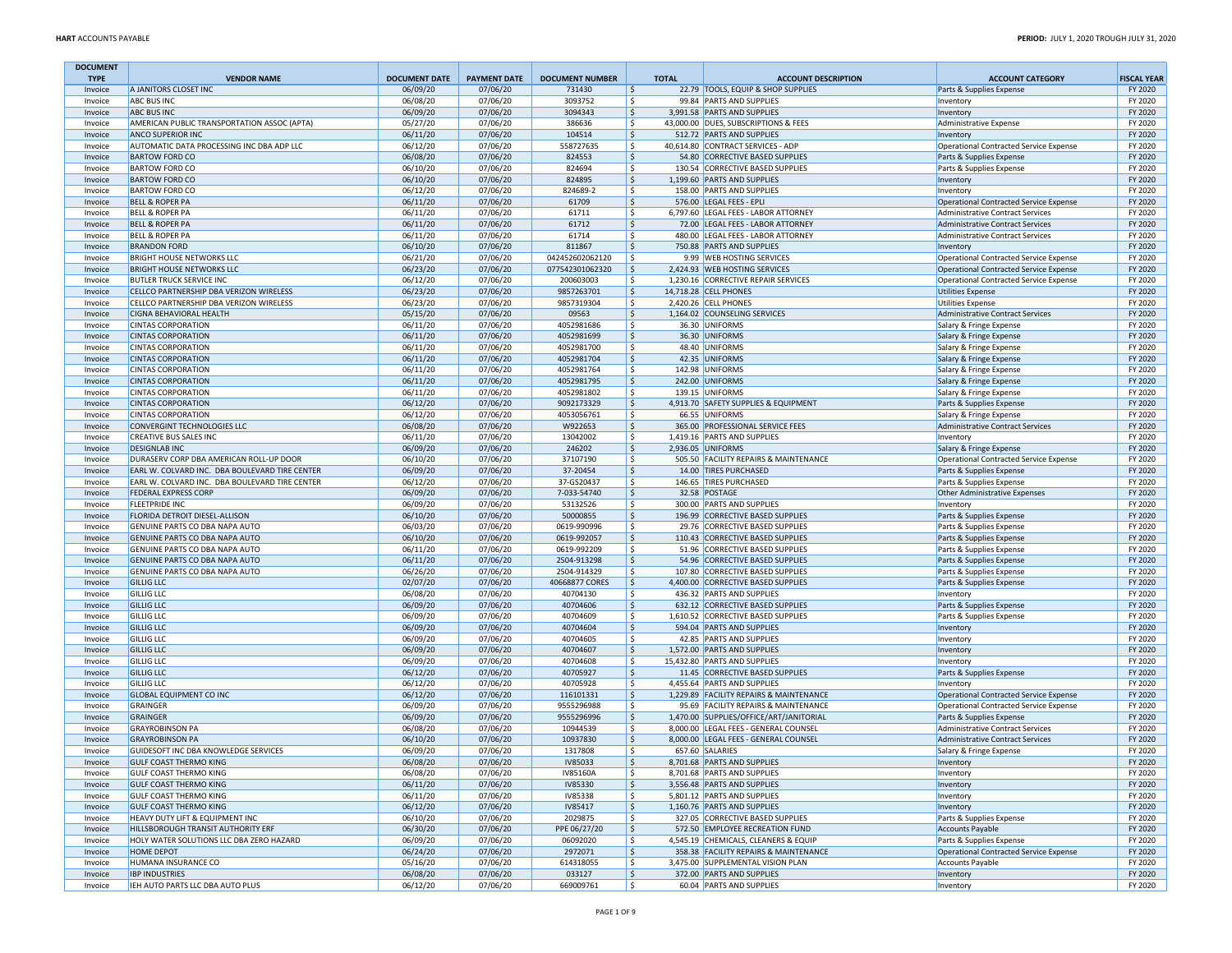| <b>DOCUMENT</b>        |                                                                                           |                                  |                                 |                                  |                    |                                                                               |                                                                    |                               |
|------------------------|-------------------------------------------------------------------------------------------|----------------------------------|---------------------------------|----------------------------------|--------------------|-------------------------------------------------------------------------------|--------------------------------------------------------------------|-------------------------------|
| <b>TYPE</b><br>Invoice | <b>VENDOR NAME</b><br>A JANITORS CLOSET INC                                               | <b>DOCUMENT DATE</b><br>06/09/20 | <b>PAYMENT DATE</b><br>07/06/20 | <b>DOCUMENT NUMBER</b><br>731430 | <b>TOTAL</b><br>\$ | <b>ACCOUNT DESCRIPTION</b><br>22.79 TOOLS, EQUIP & SHOP SUPPLIES              | <b>ACCOUNT CATEGORY</b><br>Parts & Supplies Expense                | <b>FISCAL YEAR</b><br>FY 2020 |
| Invoice                | <b>ABC BUS INC</b>                                                                        | 06/08/20                         | 07/06/20                        | 3093752                          | \$                 | 99.84 PARTS AND SUPPLIES                                                      | Inventory                                                          | FY 2020                       |
| Invoice                | <b>ABC BUS INC</b>                                                                        | 06/09/20                         | 07/06/20                        | 3094343                          | \$                 | 3,991.58 PARTS AND SUPPLIES                                                   | Inventory                                                          | FY 2020                       |
| Invoice                | AMERICAN PUBLIC TRANSPORTATION ASSOC (APTA)                                               | 05/27/20                         | 07/06/20                        | 386636                           | Ŝ.                 | 43,000.00 DUES, SUBSCRIPTIONS & FEES                                          | Administrative Expense                                             | FY 2020                       |
| Invoice                | ANCO SUPERIOR INC                                                                         | 06/11/20                         | 07/06/20                        | 104514                           | \$                 | 512.72 PARTS AND SUPPLIES                                                     | Inventory                                                          | FY 2020                       |
| Invoice                | AUTOMATIC DATA PROCESSING INC DBA ADP LLC                                                 | 06/12/20                         | 07/06/20                        | 558727635                        | \$                 | 40,614.80 CONTRACT SERVICES - ADP                                             | Operational Contracted Service Expense                             | FY 2020                       |
| Invoice<br>Invoice     | <b>BARTOW FORD CO</b><br><b>BARTOW FORD CO</b>                                            | 06/08/20<br>06/10/20             | 07/06/20<br>07/06/20            | 824553<br>824694                 | \$<br>\$           | 54.80 CORRECTIVE BASED SUPPLIES<br>130.54 CORRECTIVE BASED SUPPLIES           | Parts & Supplies Expense<br>Parts & Supplies Expense               | FY 2020<br>FY 2020            |
| Invoice                | <b>BARTOW FORD CO</b>                                                                     | 06/10/20                         | 07/06/20                        | 824895                           | \$                 | 1,199.60 PARTS AND SUPPLIES                                                   | Inventory                                                          | FY 2020                       |
| Invoice                | <b>BARTOW FORD CO</b>                                                                     | 06/12/20                         | 07/06/20                        | 824689-2                         | \$                 | 158.00 PARTS AND SUPPLIES                                                     | Inventory                                                          | FY 2020                       |
| Invoice                | <b>BELL &amp; ROPER PA</b>                                                                | 06/11/20                         | 07/06/20                        | 61709                            | \$                 | 576.00 LEGAL FEES - EPLI                                                      | Operational Contracted Service Expense                             | FY 2020                       |
| Invoice                | <b>BELL &amp; ROPER PA</b>                                                                | 06/11/20                         | 07/06/20                        | 61711                            | \$                 | 6,797.60 LEGAL FEES - LABOR ATTORNEY                                          | Administrative Contract Services                                   | FY 2020                       |
| Invoice                | <b>BELL &amp; ROPER PA</b>                                                                | 06/11/20                         | 07/06/20                        | 61712                            | \$                 | 72.00 LEGAL FEES - LABOR ATTORNEY                                             | Administrative Contract Services                                   | FY 2020                       |
| Invoice                | <b>BELL &amp; ROPER PA</b>                                                                | 06/11/20                         | 07/06/20                        | 61714                            | Ŝ.                 | 480.00 LEGAL FEES - LABOR ATTORNEY                                            | <b>Administrative Contract Services</b>                            | FY 2020                       |
| Invoice                | <b>BRANDON FORD</b><br><b>BRIGHT HOUSE NETWORKS LLC</b>                                   | 06/10/20<br>06/21/20             | 07/06/20<br>07/06/20            | 811867<br>042452602062120        | \$<br>\$           | 750.88 PARTS AND SUPPLIES<br>9.99 WEB HOSTING SERVICES                        | Inventory<br>Operational Contracted Service Expense                | FY 2020<br>FY 2020            |
| Invoice<br>Invoice     | <b>BRIGHT HOUSE NETWORKS LLC</b>                                                          | 06/23/20                         | 07/06/20                        | 077542301062320                  | \$                 | 2,424.93 WEB HOSTING SERVICES                                                 | Operational Contracted Service Expense                             | FY 2020                       |
| Invoice                | <b>BUTLER TRUCK SERVICE INC</b>                                                           | 06/12/20                         | 07/06/20                        | 200603003                        | Ŝ.                 | 1,230.16 CORRECTIVE REPAIR SERVICES                                           | Operational Contracted Service Expense                             | FY 2020                       |
| Invoice                | CELLCO PARTNERSHIP DBA VERIZON WIRELESS                                                   | 06/23/20                         | 07/06/20                        | 9857263701                       | \$                 | 14,718.28 CELL PHONES                                                         | <b>Utilities Expense</b>                                           | FY 2020                       |
| Invoice                | CELLCO PARTNERSHIP DBA VERIZON WIRELESS                                                   | 06/23/20                         | 07/06/20                        | 9857319304                       | \$.                | 2,420.26 CELL PHONES                                                          | Utilities Expense                                                  | FY 2020                       |
| Invoice                | CIGNA BEHAVIORAL HEALTH                                                                   | 05/15/20                         | 07/06/20                        | 09563                            | \$                 | 1,164.02 COUNSELING SERVICES                                                  | <b>Administrative Contract Services</b>                            | FY 2020                       |
| Invoice                | <b>CINTAS CORPORATION</b>                                                                 | 06/11/20                         | 07/06/20                        | 4052981686                       | \$                 | 36.30 UNIFORMS                                                                | Salary & Fringe Expense                                            | FY 2020                       |
| Invoice                | <b>CINTAS CORPORATION</b>                                                                 | 06/11/20                         | 07/06/20                        | 4052981699                       | \$                 | 36.30 UNIFORMS                                                                | Salary & Fringe Expense                                            | FY 2020                       |
| Invoice                | <b>CINTAS CORPORATION</b><br><b>CINTAS CORPORATION</b>                                    | 06/11/20                         | 07/06/20<br>07/06/20            | 4052981700<br>4052981704         | Ŝ.                 | 48.40 UNIFORMS<br>42.35 UNIFORMS                                              | Salary & Fringe Expense                                            | FY 2020<br>FY 2020            |
| Invoice<br>Invoice     | <b>CINTAS CORPORATION</b>                                                                 | 06/11/20<br>06/11/20             | 07/06/20                        | 4052981764                       | \$<br>\$           | 142.98 UNIFORMS                                                               | Salary & Fringe Expense<br>Salary & Fringe Expense                 | FY 2020                       |
| Invoice                | <b>CINTAS CORPORATION</b>                                                                 | 06/11/20                         | 07/06/20                        | 4052981795                       | \$                 | 242.00 UNIFORMS                                                               | Salary & Fringe Expense                                            | FY 2020                       |
| Invoice                | <b>CINTAS CORPORATION</b>                                                                 | 06/11/20                         | 07/06/20                        | 4052981802                       | Ŝ.                 | 139.15 UNIFORMS                                                               | Salary & Fringe Expense                                            | FY 2020                       |
| Invoice                | <b>CINTAS CORPORATION</b>                                                                 | 06/12/20                         | 07/06/20                        | 9092173329                       | \$                 | 4,913.70 SAFETY SUPPLIES & EQUIPMENT                                          | Parts & Supplies Expense                                           | FY 2020                       |
| Invoice                | <b>CINTAS CORPORATION</b>                                                                 | 06/12/20                         | 07/06/20                        | 4053056761                       | \$.                | 66.55 UNIFORMS                                                                | Salary & Fringe Expense                                            | FY 2020                       |
| Invoice                | CONVERGINT TECHNOLOGIES LLC                                                               | 06/08/20                         | 07/06/20                        | W922653                          | \$                 | 365.00 PROFESSIONAL SERVICE FEES                                              | Administrative Contract Services                                   | FY 2020                       |
| Invoice                | <b>CREATIVE BUS SALES INC</b>                                                             | 06/11/20                         | 07/06/20                        | 13042002                         | \$                 | 1,419.16 PARTS AND SUPPLIES                                                   | Inventory                                                          | FY 2020                       |
| Invoice                | <b>DESIGNLAB INC</b>                                                                      | 06/09/20                         | 07/06/20                        | 246202                           | \$<br>Ŝ.           | 2,936.05 UNIFORMS                                                             | Salary & Fringe Expense                                            | FY 2020                       |
| Invoice<br>Invoice     | DURASERV CORP DBA AMERICAN ROLL-UP DOOR<br>EARL W. COLVARD INC. DBA BOULEVARD TIRE CENTER | 06/10/20<br>06/09/20             | 07/06/20<br>07/06/20            | 37107190<br>37-20454             | \$                 | 505.50 FACILITY REPAIRS & MAINTENANCE<br>14.00 TIRES PURCHASED                | Operational Contracted Service Expense<br>Parts & Supplies Expense | FY 2020<br>FY 2020            |
| Invoice                | EARL W. COLVARD INC. DBA BOULEVARD TIRE CENTER                                            | 06/12/20                         | 07/06/20                        | 37-GS20437                       | \$                 | 146.65 TIRES PURCHASED                                                        | Parts & Supplies Expense                                           | FY 2020                       |
| Invoice                | <b>FEDERAL EXPRESS CORP</b>                                                               | 06/09/20                         | 07/06/20                        | 7-033-54740                      | \$                 | 32.58 POSTAGE                                                                 | Other Administrative Expenses                                      | FY 2020                       |
| Invoice                | <b>FLEETPRIDE INC</b>                                                                     | 06/09/20                         | 07/06/20                        | 53132526                         | Ŝ.                 | 300.00 PARTS AND SUPPLIES                                                     | Inventory                                                          | FY 2020                       |
| Invoice                | FLORIDA DETROIT DIESEL-ALLISON                                                            | 06/10/20                         | 07/06/20                        | 50000855                         | \$                 | 196.99 CORRECTIVE BASED SUPPLIES                                              | Parts & Supplies Expense                                           | FY 2020                       |
| Invoice                | GENUINE PARTS CO DBA NAPA AUTO                                                            | 06/03/20                         | 07/06/20                        | 0619-990996                      | \$.                | 29.76 CORRECTIVE BASED SUPPLIES                                               | Parts & Supplies Expense                                           | FY 2020                       |
| Invoice                | GENUINE PARTS CO DBA NAPA AUTO                                                            | 06/10/20                         | 07/06/20                        | 0619-992057                      | \$                 | 110.43 CORRECTIVE BASED SUPPLIES                                              | Parts & Supplies Expense                                           | FY 2020                       |
| Invoice<br>Invoice     | GENUINE PARTS CO DBA NAPA AUTO<br>GENUINE PARTS CO DBA NAPA AUTO                          | 06/11/20<br>06/11/20             | 07/06/20<br>07/06/20            | 0619-992209<br>2504-913298       | \$<br>\$           | 51.96 CORRECTIVE BASED SUPPLIES<br>54.96 CORRECTIVE BASED SUPPLIES            | Parts & Supplies Expense<br>Parts & Supplies Expense               | FY 2020<br>FY 2020            |
| Invoice                | GENUINE PARTS CO DBA NAPA AUTO                                                            | 06/26/20                         | 07/06/20                        | 2504-914329                      | Ŝ.                 | 107.80 CORRECTIVE BASED SUPPLIES                                              | Parts & Supplies Expense                                           | FY 2020                       |
| Invoice                | <b>GILLIG LLC</b>                                                                         | 02/07/20                         | 07/06/20                        | 40668877 CORES                   | \$                 | 4,400.00 CORRECTIVE BASED SUPPLIES                                            | Parts & Supplies Expense                                           | FY 2020                       |
| Invoice                | <b>GILLIG LLC</b>                                                                         | 06/08/20                         | 07/06/20                        | 40704130                         | \$                 | 436.32 PARTS AND SUPPLIES                                                     | Inventory                                                          | FY 2020                       |
| Invoice                | <b>GILLIG LLC</b>                                                                         | 06/09/20                         | 07/06/20                        | 40704606                         | \$                 | 632.12 CORRECTIVE BASED SUPPLIES                                              | Parts & Supplies Expense                                           | FY 2020                       |
| Invoice                | <b>GILLIG LLC</b>                                                                         | 06/09/20                         | 07/06/20                        | 40704609                         | Ŝ.                 | 1,610.52 CORRECTIVE BASED SUPPLIES                                            | Parts & Supplies Expense                                           | FY 2020                       |
| Invoice                | <b>GILLIG LLC</b>                                                                         | 06/09/20                         | 07/06/20                        | 40704604                         | \$                 | 594.04 PARTS AND SUPPLIES                                                     | Inventory                                                          | FY 2020                       |
| Invoice                | <b>GILLIG LLC</b><br><b>GILLIG LLC</b>                                                    | 06/09/20<br>06/09/20             | 07/06/20<br>07/06/20            | 40704605<br>40704607             | \$<br>\$           | 42.85 PARTS AND SUPPLIES<br>1,572.00 PARTS AND SUPPLIES                       | Inventory                                                          | FY 2020<br>FY 2020            |
| Invoice<br>Invoice     | <b>GILLIG LLC</b>                                                                         | 06/09/20                         | 07/06/20                        | 40704608                         | \$                 | 15.432.80 PARTS AND SUPPLIES                                                  | Inventory<br>Inventory                                             | FY 2020                       |
| Invoice                | <b>GILLIG LLC</b>                                                                         | 06/12/20                         | 07/06/20                        | 40705927                         | \$                 | 11.45 CORRECTIVE BASED SUPPLIES                                               | Parts & Supplies Expense                                           | FY 2020                       |
| Invoice                | <b>GILLIG LLC</b>                                                                         | 06/12/20                         | 07/06/20                        | 40705928                         | Ŝ.                 | 4,455.64 PARTS AND SUPPLIES                                                   | Inventory                                                          | FY 2020                       |
| Invoice                | <b>GLOBAL EQUIPMENT CO INC</b>                                                            | 06/12/20                         | 07/06/20                        | 116101331                        | \$                 | 1,229.89 FACILITY REPAIRS & MAINTENANCE                                       | Operational Contracted Service Expense                             | FY 2020                       |
| Invoice                | <b>GRAINGER</b>                                                                           | 06/09/20                         | 07/06/20                        | 9555296988                       | \$                 | 95.69 FACILITY REPAIRS & MAINTENANCE                                          | Operational Contracted Service Expense                             | FY 2020                       |
| Invoice                | <b>GRAINGER</b>                                                                           | 06/09/20                         | 07/06/20                        | 9555296996                       | \$                 | 1,470.00 SUPPLIES/OFFICE/ART/JANITORIAL                                       | Parts & Supplies Expense                                           | FY 2020                       |
| Invoice                | <b>GRAYROBINSON PA</b>                                                                    | 06/08/20                         | 07/06/20                        | 10944539                         | Ŝ.                 | 8,000.00 LEGAL FEES - GENERAL COUNSEL                                         | Administrative Contract Services                                   | FY 2020                       |
| Invoice<br>Invoice     | <b>GRAYROBINSON PA</b><br>GUIDESOFT INC DBA KNOWLEDGE SERVICES                            | 06/10/20<br>06/09/20             | 07/06/20<br>07/06/20            | 10937830<br>1317808              | Ŝ.<br>\$           | 8,000.00 LEGAL FEES - GENERAL COUNSEL<br>657.60 SALARIES                      | <b>Administrative Contract Services</b><br>Salary & Fringe Expense | FY 2020<br>FY 2020            |
| Invoice                | <b>GULF COAST THERMO KING</b>                                                             | 06/08/20                         | 07/06/20                        | IV85033                          | \$                 | 8,701.68 PARTS AND SUPPLIES                                                   | Inventory                                                          | FY 2020                       |
| Invoice                | <b>GULF COAST THERMO KING</b>                                                             | 06/08/20                         | 07/06/20                        | IV85160A                         | \$                 | 8,701.68 PARTS AND SUPPLIES                                                   | Inventory                                                          | FY 2020                       |
| Invoice                | <b>GULF COAST THERMO KING</b>                                                             | 06/11/20                         | 07/06/20                        | <b>IV85330</b>                   | \$                 | 3,556.48 PARTS AND SUPPLIES                                                   | Inventory                                                          | FY 2020                       |
| Invoice                | <b>GULF COAST THERMO KING</b>                                                             | 06/11/20                         | 07/06/20                        | <b>IV85338</b>                   | \$                 | 5,801.12 PARTS AND SUPPLIES                                                   | Inventory                                                          | FY 2020                       |
| Invoice                | <b>GULF COAST THERMO KING</b>                                                             | 06/12/20                         | 07/06/20                        | IV85417                          | \$                 | 1,160.76 PARTS AND SUPPLIES                                                   | Inventory                                                          | FY 2020                       |
| Invoice                | HEAVY DUTY LIFT & EQUIPMENT INC                                                           | 06/10/20                         | 07/06/20                        | 2029875                          | \$                 | 327.05 CORRECTIVE BASED SUPPLIES                                              | Parts & Supplies Expense                                           | FY 2020                       |
| Invoice                | HILLSBOROUGH TRANSIT AUTHORITY ERF<br>HOLY WATER SOLUTIONS LLC DBA ZERO HAZARD            | 06/30/20                         | 07/06/20                        | PPE 06/27/20                     | \$<br>S.           | 572.50 EMPLOYEE RECREATION FUND                                               | <b>Accounts Payable</b>                                            | FY 2020                       |
| Invoice<br>Invoice     | HOME DEPOT                                                                                | 06/09/20<br>06/24/20             | 07/06/20<br>07/06/20            | 06092020<br>2972071              | \$                 | 4,545.19 CHEMICALS, CLEANERS & EQUIP<br>358.38 FACILITY REPAIRS & MAINTENANCE | Parts & Supplies Expense<br>Operational Contracted Service Expense | FY 2020<br>FY 2020            |
| Invoice                | HUMANA INSURANCE CO                                                                       | 05/16/20                         | 07/06/20                        | 614318055                        | \$                 | 3,475.00 SUPPLEMENTAL VISION PLAN                                             | <b>Accounts Payable</b>                                            | FY 2020                       |
| Invoice                | <b>IBP INDUSTRIES</b>                                                                     | 06/08/20                         | 07/06/20                        | 033127                           | \$                 | 372.00 PARTS AND SUPPLIES                                                     | Inventory                                                          | FY 2020                       |
| Invoice                | IEH AUTO PARTS LLC DBA AUTO PLUS                                                          | 06/12/20                         | 07/06/20                        | 669009761                        | \$                 | 60.04 PARTS AND SUPPLIES                                                      | Inventory                                                          | FY 2020                       |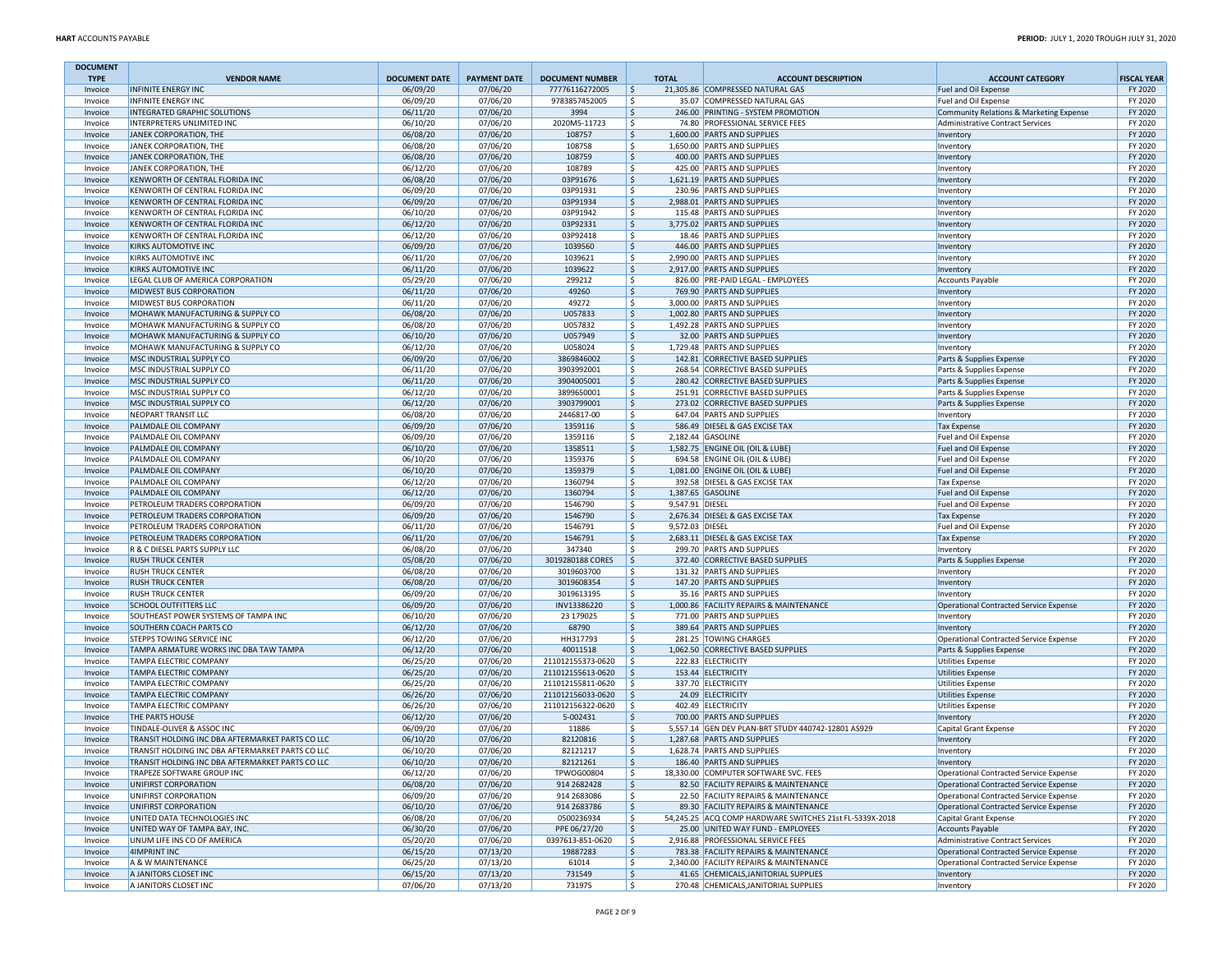| <b>DOCUMENT</b>    |                                                                                |                                  |                                 |                                          |                                |                                                                                  |                                                                                  |                               |
|--------------------|--------------------------------------------------------------------------------|----------------------------------|---------------------------------|------------------------------------------|--------------------------------|----------------------------------------------------------------------------------|----------------------------------------------------------------------------------|-------------------------------|
| <b>TYPE</b>        | <b>VENDOR NAME</b><br><b>INFINITE ENERGY INC</b>                               | <b>DOCUMENT DATE</b><br>06/09/20 | <b>PAYMENT DATE</b><br>07/06/20 | <b>DOCUMENT NUMBER</b><br>77776116272005 | <b>TOTAL</b><br>$\frac{1}{2}$  | <b>ACCOUNT DESCRIPTION</b><br>21,305.86 COMPRESSED NATURAL GAS                   | <b>ACCOUNT CATEGORY</b>                                                          | <b>FISCAL YEAR</b><br>FY 2020 |
| Invoice<br>Invoice | <b>INFINITE ENERGY INC</b>                                                     | 06/09/20                         | 07/06/20                        | 9783857452005                            | l \$                           | 35.07 COMPRESSED NATURAL GAS                                                     | Fuel and Oil Expense<br>Fuel and Oil Expense                                     | FY 2020                       |
| Invoice            | INTEGRATED GRAPHIC SOLUTIONS                                                   | 06/11/20                         | 07/06/20                        | 3994                                     | l \$                           | 246.00 PRINTING - SYSTEM PROMOTION                                               | Community Relations & Marketing Expense                                          | FY 2020                       |
| Invoice            | INTERPRETERS UNLIMITED INC                                                     | 06/10/20                         | 07/06/20                        | 2020M5-11723                             | l\$                            | 74.80 PROFESSIONAL SERVICE FEES                                                  | <b>Administrative Contract Services</b>                                          | FY 2020                       |
| Invoice            | JANEK CORPORATION, THE                                                         | 06/08/20                         | 07/06/20                        | 108757                                   | \$                             | 1,600.00 PARTS AND SUPPLIES                                                      | Inventory                                                                        | FY 2020                       |
| Invoice            | JANEK CORPORATION, THE                                                         | 06/08/20                         | 07/06/20                        | 108758                                   | \$                             | 1,650.00 PARTS AND SUPPLIES                                                      | Inventory                                                                        | FY 2020                       |
| Invoice<br>Invoice | JANEK CORPORATION, THE<br>JANEK CORPORATION, THE                               | 06/08/20<br>06/12/20             | 07/06/20<br>07/06/20            | 108759<br>108789                         | \$<br>l \$                     | 400.00 PARTS AND SUPPLIES<br>425.00 PARTS AND SUPPLIES                           | Inventory<br>Inventory                                                           | FY 2020<br>FY 2020            |
| Invoice            | KENWORTH OF CENTRAL FLORIDA INC                                                | 06/08/20                         | 07/06/20                        | 03P91676                                 | I\$                            | 1,621.19 PARTS AND SUPPLIES                                                      | Inventory                                                                        | FY 2020                       |
| Invoice            | KENWORTH OF CENTRAL FLORIDA INC                                                | 06/09/20                         | 07/06/20                        | 03P91931                                 | \$                             | 230.96 PARTS AND SUPPLIES                                                        | Inventory                                                                        | FY 2020                       |
| Invoice            | KENWORTH OF CENTRAL FLORIDA INC                                                | 06/09/20                         | 07/06/20                        | 03P91934                                 | \$                             | 2,988.01 PARTS AND SUPPLIES                                                      | Inventory                                                                        | FY 2020                       |
| Invoice            | KENWORTH OF CENTRAL FLORIDA INC                                                | 06/10/20                         | 07/06/20                        | 03P91942                                 | \$                             | 115.48 PARTS AND SUPPLIES                                                        | Inventory                                                                        | FY 2020                       |
| Invoice            | KENWORTH OF CENTRAL FLORIDA INC                                                | 06/12/20                         | 07/06/20                        | 03P92331                                 | l \$                           | 3,775.02 PARTS AND SUPPLIES                                                      | Inventory                                                                        | FY 2020                       |
| Invoice<br>Invoice | KENWORTH OF CENTRAL FLORIDA INC<br>KIRKS AUTOMOTIVE INC                        | 06/12/20<br>06/09/20             | 07/06/20<br>07/06/20            | 03P92418<br>1039560                      | S.<br> \$                      | 18.46 PARTS AND SUPPLIES<br>446.00 PARTS AND SUPPLIES                            | Inventory                                                                        | FY 2020<br>FY 2020            |
| Invoice            | KIRKS AUTOMOTIVE INC                                                           | 06/11/20                         | 07/06/20                        | 1039621                                  | \$                             | 2,990.00 PARTS AND SUPPLIES                                                      | Inventory<br>Inventory                                                           | FY 2020                       |
| Invoice            | KIRKS AUTOMOTIVE INC                                                           | 06/11/20                         | 07/06/20                        | 1039622                                  | \$                             | 2,917.00 PARTS AND SUPPLIES                                                      | Inventory                                                                        | FY 2020                       |
| Invoice            | LEGAL CLUB OF AMERICA CORPORATION                                              | 05/29/20                         | 07/06/20                        | 299212                                   | l \$                           | 826.00 PRE-PAID LEGAL - EMPLOYEES                                                | <b>Accounts Payable</b>                                                          | FY 2020                       |
| Invoice            | MIDWEST BUS CORPORATION                                                        | 06/11/20                         | 07/06/20                        | 49260                                    | l\$                            | 769.90 PARTS AND SUPPLIES                                                        | Inventory                                                                        | FY 2020                       |
| Invoice            | MIDWEST BUS CORPORATION                                                        | 06/11/20                         | 07/06/20                        | 49272                                    | \$                             | 3,000.00 PARTS AND SUPPLIES                                                      | Inventory                                                                        | FY 2020                       |
| Invoice<br>Invoice | MOHAWK MANUFACTURING & SUPPLY CO<br>MOHAWK MANUFACTURING & SUPPLY CO           | 06/08/20<br>06/08/20             | 07/06/20<br>07/06/20            | U057833<br>U057832                       | \$<br> \$                      | 1,002.80 PARTS AND SUPPLIES<br>1,492.28 PARTS AND SUPPLIES                       | Inventory                                                                        | FY 2020<br>FY 2020            |
| Invoice            | MOHAWK MANUFACTURING & SUPPLY CO                                               | 06/10/20                         | 07/06/20                        | U057949                                  | l \$                           | 32.00 PARTS AND SUPPLIES                                                         | Inventory<br>Inventory                                                           | FY 2020                       |
| Invoice            | MOHAWK MANUFACTURING & SUPPLY CO                                               | 06/12/20                         | 07/06/20                        | U058024                                  | \$                             | 1,729.48 PARTS AND SUPPLIES                                                      | Inventory                                                                        | FY 2020                       |
| Invoice            | MSC INDUSTRIAL SUPPLY CO                                                       | 06/09/20                         | 07/06/20                        | 3869846002                               | $\frac{1}{2}$                  | 142.81 CORRECTIVE BASED SUPPLIES                                                 | Parts & Supplies Expense                                                         | FY 2020                       |
| Invoice            | MSC INDUSTRIAL SUPPLY CO                                                       | 06/11/20                         | 07/06/20                        | 3903992001                               | \$                             | 268.54 CORRECTIVE BASED SUPPLIES                                                 | Parts & Supplies Expense                                                         | FY 2020                       |
| Invoice            | MSC INDUSTRIAL SUPPLY CO                                                       | 06/11/20                         | 07/06/20                        | 3904005001                               | \$                             | 280.42 CORRECTIVE BASED SUPPLIES                                                 | Parts & Supplies Expense                                                         | FY 2020                       |
| Invoice            | MSC INDUSTRIAL SUPPLY CO                                                       | 06/12/20                         | 07/06/20                        | 3899650001                               | l \$                           | 251.91 CORRECTIVE BASED SUPPLIES                                                 | Parts & Supplies Expense                                                         | FY 2020                       |
| Invoice            | MSC INDUSTRIAL SUPPLY CO                                                       | 06/12/20                         | 07/06/20                        | 3903799001                               | \$                             | 273.02 CORRECTIVE BASED SUPPLIES                                                 | Parts & Supplies Expense                                                         | FY 2020                       |
| Invoice<br>Invoice | NEOPART TRANSIT LLC<br>PALMDALE OIL COMPANY                                    | 06/08/20<br>06/09/20             | 07/06/20<br>07/06/20            | 2446817-00<br>1359116                    | S,<br> \$                      | 647.04 PARTS AND SUPPLIES<br>586.49 DIESEL & GAS EXCISE TAX                      | Inventory<br><b>Tax Expense</b>                                                  | FY 2020<br>FY 2020            |
| Invoice            | PALMDALE OIL COMPANY                                                           | 06/09/20                         | 07/06/20                        | 1359116                                  | \$                             | 2.182.44 GASOLINE                                                                | Fuel and Oil Expense                                                             | FY 2020                       |
| Invoice            | PALMDALE OIL COMPANY                                                           | 06/10/20                         | 07/06/20                        | 1358511                                  | l \$                           | 1,582.75 ENGINE OIL (OIL & LUBE)                                                 | Fuel and Oil Expense                                                             | FY 2020                       |
| Invoice            | PALMDALE OIL COMPANY                                                           | 06/10/20                         | 07/06/20                        | 1359376                                  | S.                             | 694.58 ENGINE OIL (OIL & LUBE)                                                   | Fuel and Oil Expense                                                             | FY 2020                       |
| Invoice            | PALMDALE OIL COMPANY                                                           | 06/10/20                         | 07/06/20                        | 1359379                                  | \$                             | 1,081.00 ENGINE OIL (OIL & LUBE)                                                 | Fuel and Oil Expense                                                             | FY 2020                       |
| Invoice            | PALMDALE OIL COMPANY                                                           | 06/12/20                         | 07/06/20                        | 1360794                                  | \$                             | 392.58 DIESEL & GAS EXCISE TAX                                                   | <b>Tax Expense</b>                                                               | FY 2020                       |
| Invoice            | PALMDALE OIL COMPANY                                                           | 06/12/20                         | 07/06/20                        | 1360794                                  | \$                             | 1,387.65 GASOLINE                                                                | Fuel and Oil Expense                                                             | FY 2020                       |
| Invoice<br>Invoice | PETROLEUM TRADERS CORPORATION<br>PETROLEUM TRADERS CORPORATION                 | 06/09/20<br>06/09/20             | 07/06/20<br>07/06/20            | 1546790<br>1546790                       | l \$<br>9,547.91 DIESEL<br>l\$ | 2,676.34 DIESEL & GAS EXCISE TAX                                                 | Fuel and Oil Expense<br><b>Tax Expense</b>                                       | FY 2020<br>FY 2020            |
| Invoice            | PETROLEUM TRADERS CORPORATION                                                  | 06/11/20                         | 07/06/20                        | 1546791                                  | S,<br>9,572.03 DIESEL          |                                                                                  | Fuel and Oil Expense                                                             | FY 2020                       |
| Invoice            | PETROLEUM TRADERS CORPORATION                                                  | 06/11/20                         | 07/06/20                        | 1546791                                  | \$                             | 2,683.11 DIESEL & GAS EXCISE TAX                                                 | <b>Tax Expense</b>                                                               | FY 2020                       |
| Invoice            | R & C DIESEL PARTS SUPPLY LLC                                                  | 06/08/20                         | 07/06/20                        | 347340                                   | \$                             | 299.70 PARTS AND SUPPLIES                                                        | Inventory                                                                        | FY 2020                       |
| Invoice            | <b>RUSH TRUCK CENTER</b>                                                       | 05/08/20                         | 07/06/20                        | 3019280188 CORES                         | I \$                           | 372.40 CORRECTIVE BASED SUPPLIES                                                 | Parts & Supplies Expense                                                         | FY 2020                       |
| Invoice            | <b>RUSH TRUCK CENTER</b>                                                       | 06/08/20                         | 07/06/20                        | 3019603700                               | \$                             | 131.32 PARTS AND SUPPLIES                                                        | Inventory                                                                        | FY 2020                       |
| Invoice            | <b>RUSH TRUCK CENTER</b>                                                       | 06/08/20<br>06/09/20             | 07/06/20<br>07/06/20            | 3019608354<br>3019613195                 | \$<br>\$                       | 147.20 PARTS AND SUPPLIES                                                        | Inventory                                                                        | FY 2020<br>FY 2020            |
| Invoice<br>Invoice | <b>RUSH TRUCK CENTER</b><br>SCHOOL OUTFITTERS LLC                              | 06/09/20                         | 07/06/20                        | INV13386220                              | \$                             | 35.16 PARTS AND SUPPLIES<br>1,000.86 FACILITY REPAIRS & MAINTENANCE              | Inventory<br><b>Operational Contracted Service Expense</b>                       | FY 2020                       |
| Invoice            | SOUTHEAST POWER SYSTEMS OF TAMPA INC                                           | 06/10/20                         | 07/06/20                        | 23 179025                                | l \$                           | 771.00 PARTS AND SUPPLIES                                                        | Inventory                                                                        | FY 2020                       |
| Invoice            | SOUTHERN COACH PARTS CO                                                        | 06/12/20                         | 07/06/20                        | 68790                                    | \$                             | 389.64 PARTS AND SUPPLIES                                                        | Inventory                                                                        | FY 2020                       |
| Invoice            | STEPPS TOWING SERVICE INC                                                      | 06/12/20                         | 07/06/20                        | HH317793                                 | S,                             | 281.25 TOWING CHARGES                                                            | Operational Contracted Service Expense                                           | FY 2020                       |
| Invoice            | TAMPA ARMATURE WORKS INC DBA TAW TAMPA                                         | 06/12/20                         | 07/06/20                        | 40011518                                 | \$                             | 1,062.50 CORRECTIVE BASED SUPPLIES                                               | Parts & Supplies Expense                                                         | FY 2020                       |
| Invoice            | TAMPA ELECTRIC COMPANY                                                         | 06/25/20                         | 07/06/20                        | 211012155373-0620                        | l \$                           | 222.83 ELECTRICITY                                                               | <b>Utilities Expense</b>                                                         | FY 2020                       |
| Invoice<br>Invoice | TAMPA ELECTRIC COMPANY<br>TAMPA ELECTRIC COMPANY                               | 06/25/20<br>06/25/20             | 07/06/20<br>07/06/20            | 211012155613-0620<br>211012155811-0620   | I \$<br>l \$                   | 153.44 ELECTRICITY<br>337.70 ELECTRICITY                                         | <b>Utilities Expense</b><br><b>Utilities Expense</b>                             | FY 2020<br>FY 2020            |
| Invoice            | TAMPA ELECTRIC COMPANY                                                         | 06/26/20                         | 07/06/20                        | 211012156033-0620                        | I \$                           | 24.09 ELECTRICITY                                                                | <b>Utilities Expense</b>                                                         | FY 2020                       |
| Invoice            | TAMPA ELECTRIC COMPANY                                                         | 06/26/20                         | 07/06/20                        | 211012156322-0620                        | ۱\$                            | 402.49 ELECTRICITY                                                               | <b>Utilities Expense</b>                                                         | FY 2020                       |
| Invoice            | THE PARTS HOUSE                                                                | 06/12/20                         | 07/06/20                        | 5-002431                                 | \$                             | 700.00 PARTS AND SUPPLIES                                                        | Inventory                                                                        | FY 2020                       |
| Invoice            | TINDALE-OLIVER & ASSOC INC                                                     | 06/09/20                         | 07/06/20                        | 11886                                    | l \$                           | 5,557.14 GEN DEV PLAN-BRT STUDY 440742-12801 AS929                               | Capital Grant Expense                                                            | FY 2020                       |
| Invoice            | TRANSIT HOLDING INC DBA AFTERMARKET PARTS CO LLC                               | 06/10/20                         | 07/06/20                        | 82120816                                 | l\$                            | 1,287.68 PARTS AND SUPPLIES                                                      | Inventory                                                                        | FY 2020                       |
| Invoice            | TRANSIT HOLDING INC DBA AFTERMARKET PARTS CO LLC                               | 06/10/20                         | 07/06/20                        | 82121217                                 | l\$                            | 1.628.74 PARTS AND SUPPLIES                                                      | Inventory                                                                        | FY 2020                       |
| Invoice<br>Invoice | TRANSIT HOLDING INC DBA AFTERMARKET PARTS CO LLC<br>TRAPEZE SOFTWARE GROUP INC | 06/10/20<br>06/12/20             | 07/06/20<br>07/06/20            | 82121261<br>TPWOG00804                   | \$<br>l \$                     | 186.40 PARTS AND SUPPLIES<br>18,330.00 COMPUTER SOFTWARE SVC. FEES               | Inventory<br>Operational Contracted Service Expense                              | FY 2020<br>FY 2020            |
| Invoice            | UNIFIRST CORPORATION                                                           | 06/08/20                         | 07/06/20                        | 914 268 2428                             | l\$                            | 82.50 FACILITY REPAIRS & MAINTENANCE                                             | Operational Contracted Service Expense                                           | FY 2020                       |
| Invoice            | UNIFIRST CORPORATION                                                           | 06/09/20                         | 07/06/20                        | 914 2683086                              | l \$                           | 22.50 FACILITY REPAIRS & MAINTENANCE                                             | Operational Contracted Service Expense                                           | FY 2020                       |
| Invoice            | UNIFIRST CORPORATION                                                           | 06/10/20                         | 07/06/20                        | 914 2683786                              | l\$                            | 89.30 FACILITY REPAIRS & MAINTENANCE                                             | Operational Contracted Service Expense                                           | FY 2020                       |
| Invoice            | UNITED DATA TECHNOLOGIES INC                                                   | 06/08/20                         | 07/06/20                        | 0500236934                               | \$                             | 54,245.25 ACQ COMP HARDWARE SWITCHES 21st FL-5339X-2018                          | Capital Grant Expense                                                            | FY 2020                       |
| Invoice            | UNITED WAY OF TAMPA BAY, INC.                                                  | 06/30/20                         | 07/06/20                        | PPE 06/27/20                             | \$                             | 25.00 UNITED WAY FUND - EMPLOYEES                                                | <b>Accounts Payable</b>                                                          | FY 2020                       |
| Invoice            | UNUM LIFE INS CO OF AMERICA                                                    | 05/20/20                         | 07/06/20                        | 0397613-851-0620                         | l\$                            | 2,916.88 PROFESSIONAL SERVICE FEES                                               | Administrative Contract Services                                                 | FY 2020                       |
| Invoice<br>Invoice | 4IMPRINT INC<br>A & W MAINTENANCE                                              | 06/15/20<br>06/25/20             | 07/13/20<br>07/13/20            | 19887283<br>61014                        | \$<br> \$                      | 783.38 FACILITY REPAIRS & MAINTENANCE<br>2,340.00 FACILITY REPAIRS & MAINTENANCE | Operational Contracted Service Expense<br>Operational Contracted Service Expense | FY 2020<br>FY 2020            |
| Invoice            | A JANITORS CLOSET INC                                                          | 06/15/20                         | 07/13/20                        | 731549                                   | $\frac{1}{2}$                  | 41.65 CHEMICALS, JANITORIAL SUPPLIES                                             | Inventory                                                                        | FY 2020                       |
| Invoice            | A JANITORS CLOSET INC                                                          | 07/06/20                         | 07/13/20                        | 731975                                   | \$                             | 270.48 CHEMICALS, JANITORIAL SUPPLIES                                            | Inventory                                                                        | FY 2020                       |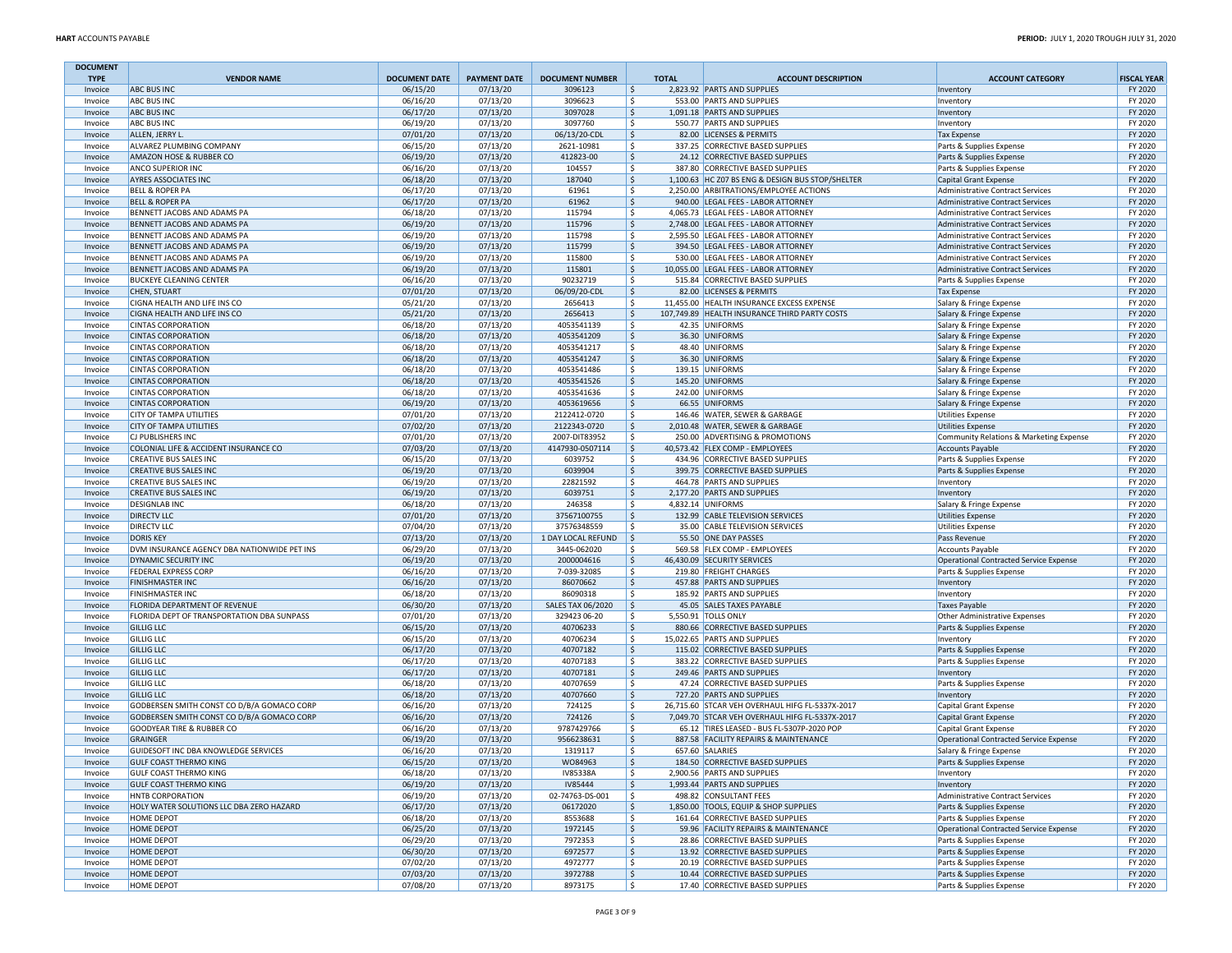| <b>DOCUMENT</b>    |                                                            |                      |                      |                            |                           |                                                                              |                                                                                    |                    |
|--------------------|------------------------------------------------------------|----------------------|----------------------|----------------------------|---------------------------|------------------------------------------------------------------------------|------------------------------------------------------------------------------------|--------------------|
| <b>TYPE</b>        | <b>VENDOR NAME</b>                                         | <b>DOCUMENT DATE</b> | <b>PAYMENT DATE</b>  | <b>DOCUMENT NUMBER</b>     | <b>TOTAL</b>              | <b>ACCOUNT DESCRIPTION</b>                                                   | <b>ACCOUNT CATEGORY</b>                                                            | <b>FISCAL YEAR</b> |
| Invoice            | <b>ABC BUS INC</b>                                         | 06/15/20             | 07/13/20             | 3096123                    | $\ddot{\mathsf{s}}$       | 2,823.92 PARTS AND SUPPLIES<br>553.00 PARTS AND SUPPLIES                     | Inventory                                                                          | FY 2020            |
| Invoice<br>Invoice | <b>ABC BUS INC</b><br><b>ABC BUS INC</b>                   | 06/16/20<br>06/17/20 | 07/13/20<br>07/13/20 | 3096623<br>3097028         | \$.<br> \$                | 1,091.18 PARTS AND SUPPLIES                                                  | Inventory<br>Inventory                                                             | FY 2020<br>FY 2020 |
| Invoice            | ABC BUS INC                                                | 06/19/20             | 07/13/20             | 3097760                    | Ŝ.                        | 550.77 PARTS AND SUPPLIES                                                    | Inventory                                                                          | FY 2020            |
| Invoice            | ALLEN, JERRY L                                             | 07/01/20             | 07/13/20             | 06/13/20-CDL               | \$                        | 82.00 LICENSES & PERMITS                                                     | <b>Tax Expense</b>                                                                 | FY 2020            |
| Invoice            | ALVAREZ PLUMBING COMPANY                                   | 06/15/20             | 07/13/20             | 2621-10981                 | \$                        | 337.25 CORRECTIVE BASED SUPPLIES                                             | Parts & Supplies Expense                                                           | FY 2020            |
| Invoice            | AMAZON HOSE & RUBBER CO                                    | 06/19/20             | 07/13/20             | 412823-00                  | \$                        | 24.12 CORRECTIVE BASED SUPPLIES                                              | Parts & Supplies Expense                                                           | FY 2020            |
| Invoice            | ANCO SUPERIOR INC                                          | 06/16/20             | 07/13/20             | 104557                     | Ŝ.                        | 387.80 CORRECTIVE BASED SUPPLIES                                             | Parts & Supplies Expense                                                           | FY 2020            |
| Invoice            | AYRES ASSOCIATES INC                                       | 06/18/20             | 07/13/20             | 187040                     | \$                        | 1,100.63 HC Z07 BS ENG & DESIGN BUS STOP/SHELTER                             | <b>Capital Grant Expense</b>                                                       | FY 2020            |
| Invoice            | <b>BELL &amp; ROPER PA</b>                                 | 06/17/20             | 07/13/20             | 61961                      | \$.                       | 2,250.00 ARBITRATIONS/EMPLOYEE ACTIONS                                       | <b>Administrative Contract Services</b>                                            | FY 2020            |
| Invoice            | <b>BELL &amp; ROPER PA</b>                                 | 06/17/20             | 07/13/20             | 61962                      | $\ddot{\mathsf{s}}$       | 940.00 LEGAL FEES - LABOR ATTORNEY                                           | <b>Administrative Contract Services</b>                                            | FY 2020            |
| Invoice            | BENNETT JACOBS AND ADAMS PA                                | 06/18/20             | 07/13/20             | 115794                     | \$.                       | 4.065.73 LEGAL FEES - LABOR ATTORNEY                                         | <b>Administrative Contract Services</b>                                            | FY 2020            |
| Invoice            | BENNETT JACOBS AND ADAMS PA<br>BENNETT JACOBS AND ADAMS PA | 06/19/20             | 07/13/20             | 115796                     | I\$<br>Ŝ.                 | 2,748.00 LEGAL FEES - LABOR ATTORNEY<br>2.595.50 LEGAL FEES - LABOR ATTORNEY | <b>Administrative Contract Services</b>                                            | FY 2020            |
| Invoice<br>Invoice | BENNETT JACOBS AND ADAMS PA                                | 06/19/20<br>06/19/20 | 07/13/20<br>07/13/20 | 115798<br>115799           | \$                        | 394.50 LEGAL FEES - LABOR ATTORNEY                                           | <b>Administrative Contract Services</b><br><b>Administrative Contract Services</b> | FY 2020<br>FY 2020 |
| Invoice            | BENNETT JACOBS AND ADAMS PA                                | 06/19/20             | 07/13/20             | 115800                     | \$                        | 530.00 LEGAL FEES - LABOR ATTORNEY                                           | <b>Administrative Contract Services</b>                                            | FY 2020            |
| Invoice            | BENNETT JACOBS AND ADAMS PA                                | 06/19/20             | 07/13/20             | 115801                     | $\ddot{\varsigma}$        | 10,055.00 LEGAL FEES - LABOR ATTORNEY                                        | <b>Administrative Contract Services</b>                                            | FY 2020            |
| Invoice            | <b>BUCKEYE CLEANING CENTER</b>                             | 06/16/20             | 07/13/20             | 90232719                   | Ŝ.                        | 515.84 CORRECTIVE BASED SUPPLIES                                             | Parts & Supplies Expense                                                           | FY 2020            |
| Invoice            | CHEN, STUART                                               | 07/01/20             | 07/13/20             | 06/09/20-CDL               | \$                        | 82.00 LICENSES & PERMITS                                                     | <b>Tax Expense</b>                                                                 | FY 2020            |
| Invoice            | CIGNA HEALTH AND LIFE INS CO                               | 05/21/20             | 07/13/20             | 2656413                    | -S                        | 11,455.00 HEALTH INSURANCE EXCESS EXPENSE                                    | Salary & Fringe Expense                                                            | FY 2020            |
| Invoice            | CIGNA HEALTH AND LIFE INS CO                               | 05/21/20             | 07/13/20             | 2656413                    | $\ddot{\mathsf{s}}$       | 107,749.89 HEALTH INSURANCE THIRD PARTY COSTS                                | Salary & Fringe Expense                                                            | FY 2020            |
| Invoice            | <b>CINTAS CORPORATION</b>                                  | 06/18/20             | 07/13/20             | 4053541139                 | \$.                       | 42.35 UNIFORMS                                                               | Salary & Fringe Expense                                                            | FY 2020            |
| Invoice            | <b>CINTAS CORPORATION</b>                                  | 06/18/20             | 07/13/20             | 4053541209                 | \$                        | 36.30 UNIFORMS                                                               | Salary & Fringe Expense                                                            | FY 2020            |
| Invoice            | <b>CINTAS CORPORATION</b>                                  | 06/18/20             | 07/13/20             | 4053541217                 | Ŝ.                        | 48.40 UNIFORMS                                                               | Salary & Fringe Expense                                                            | FY 2020            |
| Invoice            | <b>CINTAS CORPORATION</b>                                  | 06/18/20             | 07/13/20             | 4053541247                 | \$                        | 36.30 UNIFORMS                                                               | Salary & Fringe Expense                                                            | FY 2020            |
| Invoice<br>Invoice | <b>CINTAS CORPORATION</b><br><b>CINTAS CORPORATION</b>     | 06/18/20<br>06/18/20 | 07/13/20<br>07/13/20 | 4053541486<br>4053541526   | \$.<br>\$                 | 139.15 UNIFORMS<br>145.20 UNIFORMS                                           | Salary & Fringe Expense                                                            | FY 2020<br>FY 2020 |
| Invoice            | <b>CINTAS CORPORATION</b>                                  | 06/18/20             | 07/13/20             | 4053541636                 | Ŝ.                        | 242.00 UNIFORMS                                                              | Salary & Fringe Expense<br>Salary & Fringe Expense                                 | FY 2020            |
| Invoice            | <b>CINTAS CORPORATION</b>                                  | 06/19/20             | 07/13/20             | 4053619656                 | \$                        | 66.55 UNIFORMS                                                               | Salary & Fringe Expense                                                            | FY 2020            |
| Invoice            | CITY OF TAMPA UTILITIES                                    | 07/01/20             | 07/13/20             | 2122412-0720               | S.                        | 146.46 WATER, SEWER & GARBAGE                                                | <b>Utilities Expense</b>                                                           | FY 2020            |
| Invoice            | <b>CITY OF TAMPA UTILITIES</b>                             | 07/02/20             | 07/13/20             | 2122343-0720               | \$                        | 2,010.48 WATER, SEWER & GARBAGE                                              | <b>Utilities Expense</b>                                                           | FY 2020            |
| Invoice            | CJ PUBLISHERS INC                                          | 07/01/20             | 07/13/20             | 2007-DIT83952              | \$.                       | 250.00 ADVERTISING & PROMOTIONS                                              | Community Relations & Marketing Expense                                            | FY 2020            |
| Invoice            | COLONIAL LIFE & ACCIDENT INSURANCE CO                      | 07/03/20             | 07/13/20             | 4147930-0507114            | \$                        | 40,573.42 FLEX COMP - EMPLOYEES                                              | <b>Accounts Payable</b>                                                            | FY 2020            |
| Invoice            | CREATIVE BUS SALES INC                                     | 06/15/20             | 07/13/20             | 6039752                    | Ŝ.                        | 434.96 CORRECTIVE BASED SUPPLIES                                             | Parts & Supplies Expense                                                           | FY 2020            |
| Invoice            | <b>CREATIVE BUS SALES INC</b>                              | 06/19/20             | 07/13/20             | 6039904                    | \$.                       | 399.75 CORRECTIVE BASED SUPPLIES                                             | Parts & Supplies Expense                                                           | FY 2020            |
| Invoice            | CREATIVE BUS SALES INC                                     | 06/19/20             | 07/13/20             | 22821592                   | \$                        | 464.78 PARTS AND SUPPLIES                                                    | Inventory                                                                          | FY 2020            |
| Invoice            | <b>CREATIVE BUS SALES INC</b>                              | 06/19/20             | 07/13/20             | 6039751                    | \$                        | 2,177.20 PARTS AND SUPPLIES                                                  | Inventory                                                                          | FY 2020            |
| Invoice            | DESIGNLAB INC                                              | 06/18/20             | 07/13/20             | 246358                     | Ŝ.                        | 4,832.14 UNIFORMS                                                            | Salary & Fringe Expense                                                            | FY 2020            |
| Invoice<br>Invoice | DIRECTV LLC<br>DIRECTV LLC                                 | 07/01/20<br>07/04/20 | 07/13/20<br>07/13/20 | 37567100755<br>37576348559 | \$<br>S.                  | 132.99 CABLE TELEVISION SERVICES<br>35.00 CABLE TELEVISION SERVICES          | <b>Utilities Expense</b><br><b>Utilities Expense</b>                               | FY 2020<br>FY 2020 |
| Invoice            | <b>DORIS KEY</b>                                           | 07/13/20             | 07/13/20             | 1 DAY LOCAL REFUND         | \$                        | 55.50 ONE DAY PASSES                                                         | Pass Revenue                                                                       | FY 2020            |
| Invoice            | DVM INSURANCE AGENCY DBA NATIONWIDE PET INS                | 06/29/20             | 07/13/20             | 3445-062020                | \$.                       | 569.58 FLEX COMP - EMPLOYEES                                                 | <b>Accounts Payable</b>                                                            | FY 2020            |
| Invoice            | <b>DYNAMIC SECURITY INC</b>                                | 06/19/20             | 07/13/20             | 2000004616                 | I\$                       | 46,430.09 SECURITY SERVICES                                                  | Operational Contracted Service Expense                                             | FY 2020            |
| Invoice            | FEDERAL EXPRESS CORP                                       | 06/16/20             | 07/13/20             | 7-039-32085                | Ŝ.                        | 219.80 FREIGHT CHARGES                                                       | Parts & Supplies Expense                                                           | FY 2020            |
| Invoice            | <b>FINISHMASTER INC</b>                                    | 06/16/20             | 07/13/20             | 86070662                   | \$                        | 457.88 PARTS AND SUPPLIES                                                    | Inventory                                                                          | FY 2020            |
| Invoice            | FINISHMASTER INC                                           | 06/18/20             | 07/13/20             | 86090318                   | \$                        | 185.92 PARTS AND SUPPLIES                                                    | Inventory                                                                          | FY 2020            |
| Invoice            | FLORIDA DEPARTMENT OF REVENUE                              | 06/30/20             | 07/13/20             | SALES TAX 06/2020          | \$                        | 45.05 SALES TAXES PAYABLE                                                    | <b>Taxes Payable</b>                                                               | FY 2020            |
| Invoice            | FLORIDA DEPT OF TRANSPORTATION DBA SUNPASS                 | 07/01/20             | 07/13/20             | 329423 06-20               | Ŝ.                        | 5,550.91 TOLLS ONLY                                                          | Other Administrative Expenses                                                      | FY 2020            |
| Invoice            | <b>GILLIG LLC</b>                                          | 06/15/20             | 07/13/20             | 40706233                   | \$                        | 880.66 CORRECTIVE BASED SUPPLIES                                             | Parts & Supplies Expense                                                           | FY 2020            |
| Invoice            | <b>GILLIG LLC</b><br><b>GILLIG LLC</b>                     | 06/15/20             | 07/13/20<br>07/13/20 | 40706234<br>40707182       | S.<br>$\ddot{\mathsf{s}}$ | 15,022.65 PARTS AND SUPPLIES<br>115.02 CORRECTIVE BASED SUPPLIES             | Inventory                                                                          | FY 2020<br>FY 2020 |
| Invoice<br>Invoice | <b>GILLIG LLC</b>                                          | 06/17/20<br>06/17/20 | 07/13/20             | 40707183                   | \$.                       | 383.22 CORRECTIVE BASED SUPPLIES                                             | Parts & Supplies Expense<br>Parts & Supplies Expense                               | FY 2020            |
| Invoice            | <b>GILLIG LLC</b>                                          | 06/17/20             | 07/13/20             | 40707181                   | \$                        | 249.46 PARTS AND SUPPLIES                                                    | Inventory                                                                          | FY 2020            |
| Invoice            | <b>GILLIG LLC</b>                                          | 06/18/20             | 07/13/20             | 40707659                   | Ŝ.                        | 47.24 CORRECTIVE BASED SUPPLIES                                              | Parts & Supplies Expense                                                           | FY 2020            |
| Invoice            | <b>GILLIG LLC</b>                                          | 06/18/20             | 07/13/20             | 40707660                   | \$                        | 727.20 PARTS AND SUPPLIES                                                    | Inventory                                                                          | FY 2020            |
| Invoice            | GODBERSEN SMITH CONST CO D/B/A GOMACO CORP                 | 06/16/20             | 07/13/20             | 724125                     | \$                        | 26,715.60 STCAR VEH OVERHAUL HIFG FL-5337X-2017                              | <b>Capital Grant Expense</b>                                                       | FY 2020            |
| Invoice            | GODBERSEN SMITH CONST CO D/B/A GOMACO CORP                 | 06/16/20             | 07/13/20             | 724126                     | \$                        | 7,049.70 STCAR VEH OVERHAUL HIFG FL-5337X-2017                               | <b>Capital Grant Expense</b>                                                       | FY 2020            |
| Invoice            | GOODYEAR TIRE & RUBBER CO                                  | 06/16/20             | 07/13/20             | 9787429766                 | Ŝ.                        | 65.12 TIRES LEASED - BUS FL-5307P-2020 POP                                   | <b>Capital Grant Expense</b>                                                       | FY 2020            |
| Invoice            | <b>GRAINGER</b>                                            | 06/19/20             | 07/13/20             | 9566238631                 | Ŝ.                        | 887.58 FACILITY REPAIRS & MAINTENANCE                                        | Operational Contracted Service Expense                                             | FY 2020            |
| Invoice            | GUIDESOFT INC DBA KNOWLEDGE SERVICES                       | 06/16/20             | 07/13/20             | 1319117                    | Ŝ.                        | 657.60 SALARIES                                                              | Salary & Fringe Expense                                                            | FY 2020            |
| Invoice            | <b>GULF COAST THERMO KING</b>                              | 06/15/20             | 07/13/20             | W084963                    | $\ddot{\mathsf{s}}$       | 184.50 CORRECTIVE BASED SUPPLIES                                             | Parts & Supplies Expense                                                           | FY 2020            |
| Invoice            | <b>GULF COAST THERMO KING</b>                              | 06/18/20             | 07/13/20             | IV85338A<br><b>IV85444</b> | \$.                       | 2,900.56 PARTS AND SUPPLIES                                                  | Inventory                                                                          | FY 2020            |
| Invoice<br>Invoice | <b>GULF COAST THERMO KING</b><br>HNTB CORPORATION          | 06/19/20<br>06/19/20 | 07/13/20<br>07/13/20 | 02-74763-DS-001            | \$<br>Ŝ.                  | 1,993.44 PARTS AND SUPPLIES<br>498.82 CONSULTANT FEES                        | Inventory<br><b>Administrative Contract Services</b>                               | FY 2020<br>FY 2020 |
| Invoice            | HOLY WATER SOLUTIONS LLC DBA ZERO HAZARD                   | 06/17/20             | 07/13/20             | 06172020                   | \$                        | 1,850.00 TOOLS, EQUIP & SHOP SUPPLIES                                        | Parts & Supplies Expense                                                           | FY 2020            |
| Invoice            | HOME DEPOT                                                 | 06/18/20             | 07/13/20             | 8553688                    | \$                        | 161.64 CORRECTIVE BASED SUPPLIES                                             | Parts & Supplies Expense                                                           | FY 2020            |
| Invoice            | <b>HOME DEPOT</b>                                          | 06/25/20             | 07/13/20             | 1972145                    | \$                        | 59.96 FACILITY REPAIRS & MAINTENANCE                                         | Operational Contracted Service Expense                                             | FY 2020            |
| Invoice            | HOME DEPOT                                                 | 06/29/20             | 07/13/20             | 7972353                    | \$                        | 28.86 CORRECTIVE BASED SUPPLIES                                              | Parts & Supplies Expense                                                           | FY 2020            |
| Invoice            | HOME DEPOT                                                 | 06/30/20             | 07/13/20             | 6972577                    | \$                        | 13.92 CORRECTIVE BASED SUPPLIES                                              | Parts & Supplies Expense                                                           | FY 2020            |
| Invoice            | HOME DEPOT                                                 | 07/02/20             | 07/13/20             | 4972777                    | \$                        | 20.19 CORRECTIVE BASED SUPPLIES                                              | Parts & Supplies Expense                                                           | FY 2020            |
| Invoice            | HOME DEPOT                                                 | 07/03/20             | 07/13/20             | 3972788                    | \$                        | 10.44 CORRECTIVE BASED SUPPLIES                                              | Parts & Supplies Expense                                                           | FY 2020            |
| Invoice            | <b>HOME DEPOT</b>                                          | 07/08/20             | 07/13/20             | 8973175                    | l\$                       | 17.40 CORRECTIVE BASED SUPPLIES                                              | Parts & Supplies Expense                                                           | FY 2020            |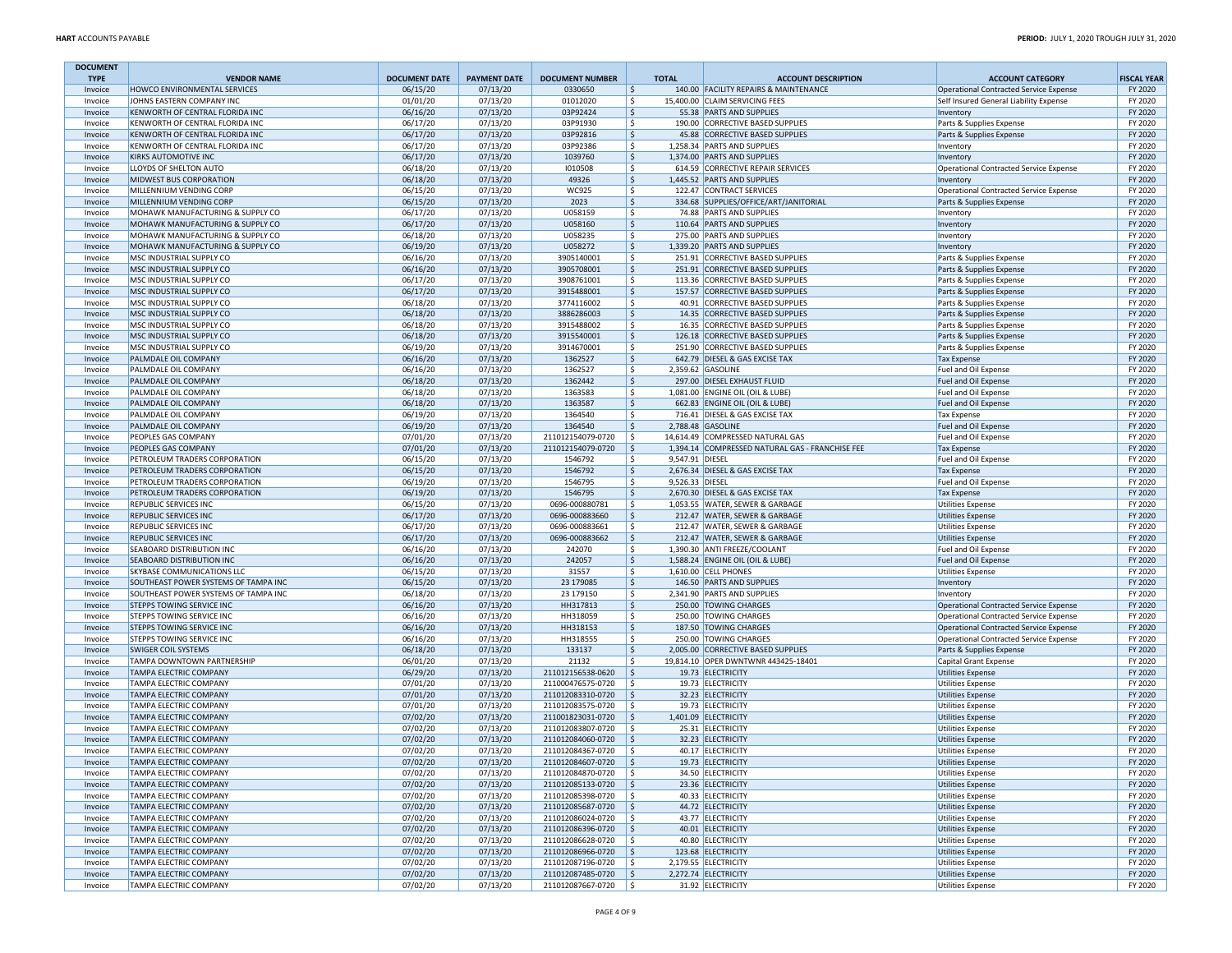| <b>DOCUMENT</b>    |                                                                |                      |                      |                                        |                              |                                                                           |                                                                                  |                    |
|--------------------|----------------------------------------------------------------|----------------------|----------------------|----------------------------------------|------------------------------|---------------------------------------------------------------------------|----------------------------------------------------------------------------------|--------------------|
| <b>TYPE</b>        | <b>VENDOR NAME</b><br>HOWCO ENVIRONMENTAL SERVICES             | <b>DOCUMENT DATE</b> | <b>PAYMENT DATE</b>  | <b>DOCUMENT NUMBER</b>                 | <b>TOTAL</b>                 | <b>ACCOUNT DESCRIPTION</b><br>140.00 FACILITY REPAIRS & MAINTENANCE       | <b>ACCOUNT CATEGORY</b>                                                          | <b>FISCAL YEAR</b> |
| Invoice<br>Invoice | JOHNS EASTERN COMPANY INC                                      | 06/15/20<br>01/01/20 | 07/13/20<br>07/13/20 | 0330650<br>01012020                    | $\frac{1}{2}$<br>l \$        | 15.400.00 CLAIM SERVICING FEES                                            | Operational Contracted Service Expense<br>Self Insured General Liability Expense | FY 2020<br>FY 2020 |
| Invoice            | KENWORTH OF CENTRAL FLORIDA INC                                | 06/16/20             | 07/13/20             | 03P92424                               | l \$                         | 55.38 PARTS AND SUPPLIES                                                  | Inventory                                                                        | FY 2020            |
| Invoice            | KENWORTH OF CENTRAL FLORIDA INC                                | 06/17/20             | 07/13/20             | 03P91930                               | l \$                         | 190.00 CORRECTIVE BASED SUPPLIES                                          | Parts & Supplies Expense                                                         | FY 2020            |
| Invoice            | KENWORTH OF CENTRAL FLORIDA INC                                | 06/17/20             | 07/13/20             | 03P92816                               | $\frac{1}{2}$                | 45.88 CORRECTIVE BASED SUPPLIES                                           | Parts & Supplies Expense                                                         | FY 2020            |
| Invoice            | KENWORTH OF CENTRAL FLORIDA INC                                | 06/17/20             | 07/13/20             | 03P92386                               | \$                           | 1,258.34 PARTS AND SUPPLIES                                               | Inventory                                                                        | FY 2020            |
| Invoice            | KIRKS AUTOMOTIVE INC<br>LLOYDS OF SHELTON AUTO                 | 06/17/20             | 07/13/20             | 1039760<br>1010508                     | $\frac{1}{2}$<br>l \$        | 1.374.00 PARTS AND SUPPLIES                                               | Inventory                                                                        | FY 2020<br>FY 2020 |
| Invoice<br>Invoice | MIDWEST BUS CORPORATION                                        | 06/18/20<br>06/18/20 | 07/13/20<br>07/13/20 | 49326                                  | S.                           | 614.59 CORRECTIVE REPAIR SERVICES<br>1,445.52 PARTS AND SUPPLIES          | Operational Contracted Service Expense<br>Inventory                              | FY 2020            |
| Invoice            | MILLENNIUM VENDING CORP                                        | 06/15/20             | 07/13/20             | <b>WC925</b>                           | \$                           | 122.47 CONTRACT SERVICES                                                  | Operational Contracted Service Expense                                           | FY 2020            |
| Invoice            | MILLENNIUM VENDING CORP                                        | 06/15/20             | 07/13/20             | 2023                                   | \$                           | 334.68 SUPPLIES/OFFICE/ART/JANITORIAL                                     | Parts & Supplies Expense                                                         | FY 2020            |
| Invoice            | MOHAWK MANUFACTURING & SUPPLY CO                               | 06/17/20             | 07/13/20             | U058159                                | \$                           | 74.88 PARTS AND SUPPLIES                                                  | Inventory                                                                        | FY 2020            |
| Invoice            | MOHAWK MANUFACTURING & SUPPLY CO                               | 06/17/20             | 07/13/20             | U058160                                | l \$                         | 110.64 PARTS AND SUPPLIES                                                 | Inventory                                                                        | FY 2020            |
| Invoice            | MOHAWK MANUFACTURING & SUPPLY CO                               | 06/18/20             | 07/13/20             | U058235                                | S.                           | 275.00 PARTS AND SUPPLIES                                                 | Inventory                                                                        | FY 2020            |
| Invoice            | MOHAWK MANUFACTURING & SUPPLY CO                               | 06/19/20             | 07/13/20             | U058272                                | $\frac{1}{2}$                | 1,339.20 PARTS AND SUPPLIES                                               | Inventory                                                                        | FY 2020            |
| Invoice<br>Invoice | MSC INDUSTRIAL SUPPLY CO<br>MSC INDUSTRIAL SUPPLY CO           | 06/16/20<br>06/16/20 | 07/13/20<br>07/13/20 | 3905140001<br>3905708001               | \$<br>\$                     | 251.91 CORRECTIVE BASED SUPPLIES<br>251.91 CORRECTIVE BASED SUPPLIES      | Parts & Supplies Expense<br>Parts & Supplies Expense                             | FY 2020<br>FY 2020 |
| Invoice            | MSC INDUSTRIAL SUPPLY CO                                       | 06/17/20             | 07/13/20             | 3908761001                             | l \$                         | 113.36 CORRECTIVE BASED SUPPLIES                                          | Parts & Supplies Expense                                                         | FY 2020            |
| Invoice            | MSC INDUSTRIAL SUPPLY CO                                       | 06/17/20             | 07/13/20             | 3915488001                             | S.                           | 157.57 CORRECTIVE BASED SUPPLIES                                          | Parts & Supplies Expense                                                         | FY 2020            |
| Invoice            | MSC INDUSTRIAL SUPPLY CO                                       | 06/18/20             | 07/13/20             | 3774116002                             | S,                           | 40.91 CORRECTIVE BASED SUPPLIES                                           | Parts & Supplies Expense                                                         | FY 2020            |
| Invoice            | MSC INDUSTRIAL SUPPLY CO                                       | 06/18/20             | 07/13/20             | 3886286003                             | $\frac{1}{2}$                | 14.35 CORRECTIVE BASED SUPPLIES                                           | Parts & Supplies Expense                                                         | FY 2020            |
| Invoice            | MSC INDUSTRIAL SUPPLY CO                                       | 06/18/20             | 07/13/20             | 3915488002                             | \$                           | 16.35 CORRECTIVE BASED SUPPLIES                                           | Parts & Supplies Expense                                                         | FY 2020            |
| Invoice            | MSC INDUSTRIAL SUPPLY CO                                       | 06/18/20             | 07/13/20             | 3915540001                             | l \$                         | 126.18 CORRECTIVE BASED SUPPLIES                                          | Parts & Supplies Expense                                                         | FY 2020            |
| Invoice            | MSC INDUSTRIAL SUPPLY CO                                       | 06/19/20             | 07/13/20             | 3914670001                             | S.                           | 251.90 CORRECTIVE BASED SUPPLIES                                          | Parts & Supplies Expense                                                         | FY 2020            |
| Invoice            | PALMDALE OIL COMPANY<br>PALMDALE OIL COMPANY                   | 06/16/20<br>06/16/20 | 07/13/20<br>07/13/20 | 1362527<br>1362527                     | $\frac{1}{2}$<br>\$          | 642.79 DIESEL & GAS EXCISE TAX<br>2,359.62 GASOLINE                       | <b>Tax Expense</b><br>Fuel and Oil Expense                                       | FY 2020<br>FY 2020 |
| Invoice<br>Invoice | PALMDALE OIL COMPANY                                           | 06/18/20             | 07/13/20             | 1362442                                | \$                           | 297.00 DIESEL EXHAUST FLUID                                               | Fuel and Oil Expense                                                             | FY 2020            |
| Invoice            | PALMDALE OIL COMPANY                                           | 06/18/20             | 07/13/20             | 1363583                                | l \$                         | 1.081.00 ENGINE OIL (OIL & LUBE)                                          | Fuel and Oil Expense                                                             | FY 2020            |
| Invoice            | PALMDALE OIL COMPANY                                           | 06/18/20             | 07/13/20             | 1363587                                | I\$                          | 662.83 ENGINE OIL (OIL & LUBE)                                            | Fuel and Oil Expense                                                             | FY 2020            |
| Invoice            | PALMDALE OIL COMPANY                                           | 06/19/20             | 07/13/20             | 1364540                                | S,                           | 716.41 DIESEL & GAS EXCISE TAX                                            | <b>Tax Expense</b>                                                               | FY 2020            |
| Invoice            | PALMDALE OIL COMPANY                                           | 06/19/20             | 07/13/20             | 1364540                                | \$                           | 2.788.48 GASOLINE                                                         | Fuel and Oil Expense                                                             | FY 2020            |
| Invoice            | PEOPLES GAS COMPANY                                            | 07/01/20             | 07/13/20             | 211012154079-0720                      | l\$                          | 14,614.49 COMPRESSED NATURAL GAS                                          | <b>Fuel and Oil Expense</b>                                                      | FY 2020            |
| Invoice            | PEOPLES GAS COMPANY                                            | 07/01/20             | 07/13/20             | 211012154079-0720                      | I \$                         | 1.394.14 COMPRESSED NATURAL GAS - FRANCHISE FEE                           | <b>Tax Expense</b>                                                               | FY 2020            |
| Invoice<br>Invoice | PETROLEUM TRADERS CORPORATION<br>PETROLEUM TRADERS CORPORATION | 06/15/20<br>06/15/20 | 07/13/20<br>07/13/20 | 1546792<br>1546792                     | \$<br>9,547.91 DIESEL<br> \$ | 2,676.34 DIESEL & GAS EXCISE TAX                                          | Fuel and Oil Expense<br><b>Tax Expense</b>                                       | FY 2020<br>FY 2020 |
| Invoice            | PETROLEUM TRADERS CORPORATION                                  | 06/19/20             | 07/13/20             | 1546795                                | \$<br>9,526.33 DIESEL        |                                                                           | Fuel and Oil Expense                                                             | FY 2020            |
| Invoice            | PETROLEUM TRADERS CORPORATION                                  | 06/19/20             | 07/13/20             | 1546795                                | \$                           | 2,670.30 DIESEL & GAS EXCISE TAX                                          | <b>Tax Expense</b>                                                               | FY 2020            |
| Invoice            | REPUBLIC SERVICES INC                                          | 06/15/20             | 07/13/20             | 0696-000880781                         | l \$                         | 1,053.55 WATER, SEWER & GARBAGE                                           | <b>Utilities Expense</b>                                                         | FY 2020            |
| Invoice            | REPUBLIC SERVICES INC                                          | 06/17/20             | 07/13/20             | 0696-000883660                         | I\$                          | 212.47 WATER, SEWER & GARBAGE                                             | <b>Utilities Expense</b>                                                         | FY 2020            |
| Invoice            | REPUBLIC SERVICES INC                                          | 06/17/20             | 07/13/20             | 0696-000883661                         | S,                           | 212.47 WATER, SEWER & GARBAGE                                             | <b>Utilities Expense</b>                                                         | FY 2020            |
| Invoice            | REPUBLIC SERVICES INC                                          | 06/17/20             | 07/13/20             | 0696-000883662                         | \$                           | 212.47 WATER, SEWER & GARBAGE                                             | <b>Utilities Expense</b>                                                         | FY 2020            |
| Invoice<br>Invoice | SEABOARD DISTRIBUTION INC<br>SEABOARD DISTRIBUTION INC         | 06/16/20<br>06/16/20 | 07/13/20<br>07/13/20 | 242070<br>242057                       | \$<br>l\$                    | 1,390.30 ANTI FREEZE/COOLANT<br>1,588.24 ENGINE OIL (OIL & LUBE)          | Fuel and Oil Expense<br>Fuel and Oil Expense                                     | FY 2020<br>FY 2020 |
| Invoice            | SKYBASE COMMUNICATIONS LLC                                     | 06/15/20             | 07/13/20             | 31557                                  | S.                           | 1,610.00 CELL PHONES                                                      | <b>Utilities Expense</b>                                                         | FY 2020            |
| Invoice            | SOUTHEAST POWER SYSTEMS OF TAMPA INC                           | 06/15/20             | 07/13/20             | 23 179085                              | \$                           | 146.50 PARTS AND SUPPLIES                                                 | Inventory                                                                        | FY 2020            |
| Invoice            | SOUTHEAST POWER SYSTEMS OF TAMPA INC                           | 06/18/20             | 07/13/20             | 23 179 150                             | \$                           | 2,341.90 PARTS AND SUPPLIES                                               | Inventory                                                                        | FY 2020            |
| Invoice            | STEPPS TOWING SERVICE INC                                      | 06/16/20             | 07/13/20             | HH317813                               | \$                           | 250.00 TOWING CHARGES                                                     | Operational Contracted Service Expense                                           | FY 2020            |
| Invoice            | STEPPS TOWING SERVICE INC                                      | 06/16/20             | 07/13/20             | HH318059                               | l \$                         | 250.00 TOWING CHARGES                                                     | Operational Contracted Service Expense                                           | FY 2020            |
| Invoice            | STEPPS TOWING SERVICE INC                                      | 06/16/20             | 07/13/20             | HH318153                               | S.                           | 187.50 TOWING CHARGES                                                     | Operational Contracted Service Expense                                           | FY 2020            |
| Invoice            | STEPPS TOWING SERVICE INC<br><b>SWIGER COIL SYSTEMS</b>        | 06/16/20             | 07/13/20             | HH318555                               | \$                           | 250.00 TOWING CHARGES                                                     | Operational Contracted Service Expense                                           | FY 2020            |
| Invoice<br>Invoice | TAMPA DOWNTOWN PARTNERSHIP                                     | 06/18/20<br>06/01/20 | 07/13/20<br>07/13/20 | 133137<br>21132                        | \$<br> \$                    | 2,005.00 CORRECTIVE BASED SUPPLIES<br>19,814.10 OPER DWNTWNR 443425-18401 | Parts & Supplies Expense<br>Capital Grant Expense                                | FY 2020<br>FY 2020 |
| Invoice            | TAMPA ELECTRIC COMPANY                                         | 06/29/20             | 07/13/20             | 211012156538-0620                      | $\vert$ \$                   | 19.73 ELECTRICITY                                                         | <b>Utilities Expense</b>                                                         | FY 2020            |
| Invoice            | TAMPA ELECTRIC COMPANY                                         | 07/01/20             | 07/13/20             | 211000476575-0720                      | l \$                         | 19.73 ELECTRICITY                                                         | <b>Utilities Expense</b>                                                         | FY 2020            |
| Invoice            | TAMPA ELECTRIC COMPANY                                         | 07/01/20             | 07/13/20             | 211012083310-0720                      | l \$                         | 32.23 ELECTRICITY                                                         | <b>Utilities Expense</b>                                                         | FY 2020            |
| Invoice            | TAMPA ELECTRIC COMPANY                                         | 07/01/20             | 07/13/20             | 211012083575-0720                      | ۱\$                          | 19.73 ELECTRICITY                                                         | <b>Utilities Expense</b>                                                         | FY 2020            |
| Invoice            | TAMPA ELECTRIC COMPANY                                         | 07/02/20             | 07/13/20             | 211001823031-0720                      | ۱\$                          | 1,401.09 ELECTRICITY                                                      | <b>Utilities Expense</b>                                                         | FY 2020            |
| Invoice            | TAMPA ELECTRIC COMPANY                                         | 07/02/20             | 07/13/20             | 211012083807-0720                      | I\$                          | 25.31 ELECTRICITY                                                         | <b>Utilities Expense</b>                                                         | FY 2020            |
| Invoice<br>Invoice | TAMPA ELECTRIC COMPANY<br>TAMPA ELECTRIC COMPANY               | 07/02/20<br>07/02/20 | 07/13/20<br>07/13/20 | 211012084060-0720<br>211012084367-0720 | l\$<br>l \$                  | 32.23 ELECTRICITY<br>40.17 ELECTRICITY                                    | <b>Utilities Expense</b><br><b>Utilities Expense</b>                             | FY 2020<br>FY 2020 |
| Invoice            | <b>TAMPA ELECTRIC COMPANY</b>                                  | 07/02/20             | 07/13/20             | 211012084607-0720                      | $\vert$ \$                   | 19.73 ELECTRICITY                                                         | <b>Utilities Expense</b>                                                         | FY 2020            |
| Invoice            | <b>TAMPA ELECTRIC COMPANY</b>                                  | 07/02/20             | 07/13/20             | 211012084870-0720 \$                   |                              | 34.50 ELECTRICITY                                                         | <b>Utilities Expense</b>                                                         | FY 2020            |
| Invoice            | <b>TAMPA ELECTRIC COMPANY</b>                                  | 07/02/20             | 07/13/20             | 211012085133-0720                      | $\vert$ \$                   | 23.36 ELECTRICITY                                                         | Utilities Expense                                                                | FY 2020            |
| Invoice            | TAMPA ELECTRIC COMPANY                                         | 07/02/20             | 07/13/20             | 211012085398-0720                      | $\vert$ \$                   | 40.33 ELECTRICITY                                                         | <b>Utilities Expense</b>                                                         | FY 2020            |
| Invoice            | TAMPA ELECTRIC COMPANY                                         | 07/02/20             | 07/13/20             | 211012085687-0720                      | $\vert \mathsf{s} \vert$     | 44.72 ELECTRICITY                                                         | <b>Utilities Expense</b>                                                         | FY 2020            |
| Invoice            | TAMPA ELECTRIC COMPANY                                         | 07/02/20             | 07/13/20             | 211012086024-0720                      | $\frac{1}{2}$                | 43.77 ELECTRICITY                                                         | <b>Utilities Expense</b>                                                         | FY 2020            |
| Invoice<br>Invoice | TAMPA ELECTRIC COMPANY<br><b>TAMPA ELECTRIC COMPANY</b>        | 07/02/20<br>07/02/20 | 07/13/20<br>07/13/20 | 211012086396-0720<br>211012086628-0720 | $\vert$ \$                   | 40.01 ELECTRICITY<br>40.80 ELECTRICITY                                    | <b>Utilities Expense</b>                                                         | FY 2020<br>FY 2020 |
| Invoice            | TAMPA ELECTRIC COMPANY                                         | 07/02/20             | 07/13/20             | 211012086966-0720                      | $\vert$ \$<br>$\vert$ \$     | 123.68 ELECTRICITY                                                        | Utilities Expense<br><b>Utilities Expense</b>                                    | FY 2020            |
| Invoice            | TAMPA ELECTRIC COMPANY                                         | 07/02/20             | 07/13/20             | 211012087196-0720                      | $\vert$ \$                   | 2,179.55 ELECTRICITY                                                      | <b>Utilities Expense</b>                                                         | FY 2020            |
| Invoice            | TAMPA ELECTRIC COMPANY                                         | 07/02/20             | 07/13/20             | 211012087485-0720                      | $\vert$ \$                   | 2,272.74 ELECTRICITY                                                      | <b>Utilities Expense</b>                                                         | FY 2020            |
| Invoice            | <b>TAMPA ELECTRIC COMPANY</b>                                  | 07/02/20             | 07/13/20             | 211012087667-0720 \$                   |                              | 31.92 ELECTRICITY                                                         | <b>Utilities Expense</b>                                                         | FY 2020            |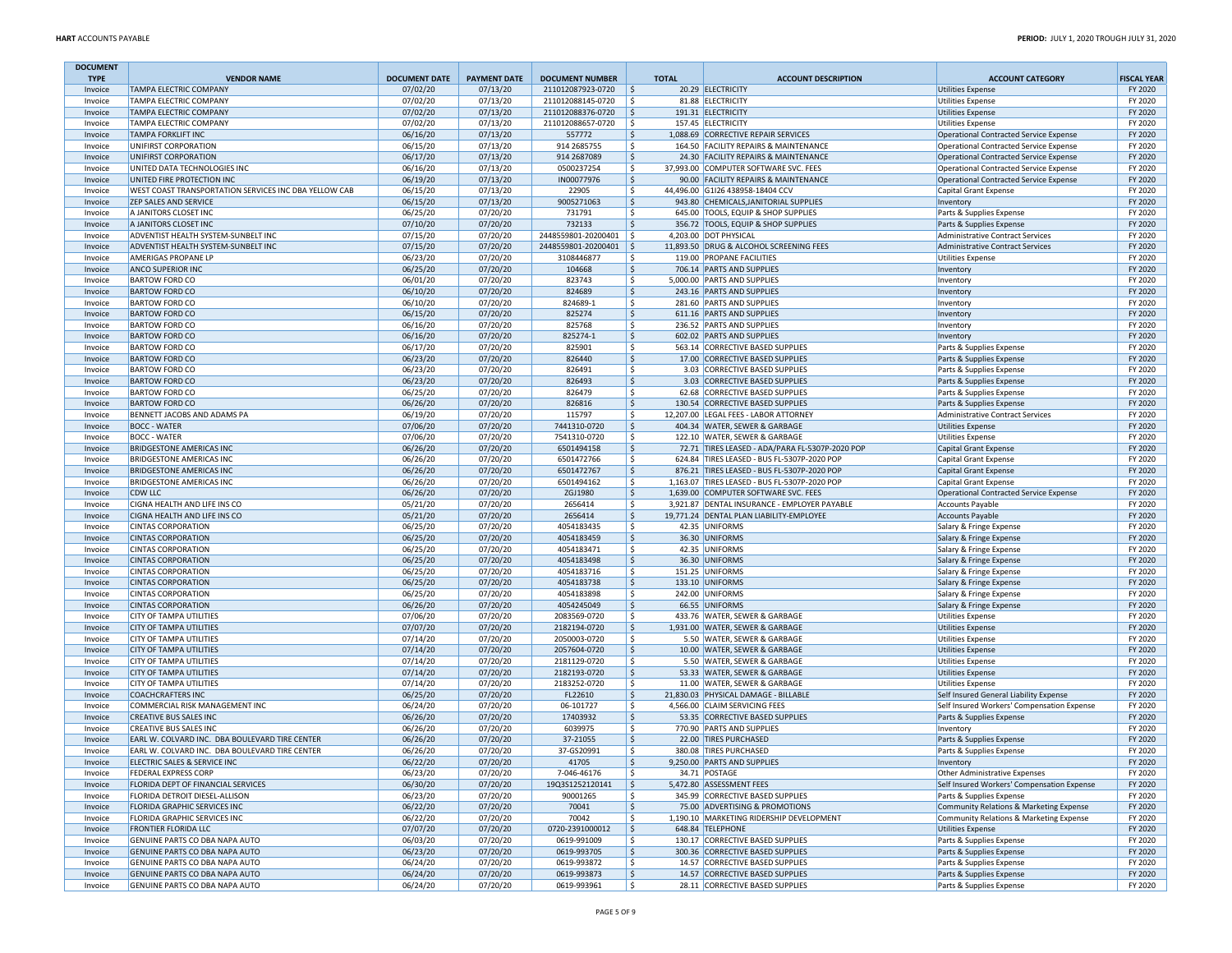| <b>DOCUMENT</b>    |                                                           |                      |                      |                                        |              |                                                                                      |                                                                    |                    |
|--------------------|-----------------------------------------------------------|----------------------|----------------------|----------------------------------------|--------------|--------------------------------------------------------------------------------------|--------------------------------------------------------------------|--------------------|
| <b>TYPE</b>        | <b>VENDOR NAME</b>                                        | <b>DOCUMENT DATE</b> | <b>PAYMENT DATE</b>  | <b>DOCUMENT NUMBER</b>                 | <b>TOTAL</b> | <b>ACCOUNT DESCRIPTION</b>                                                           | <b>ACCOUNT CATEGORY</b>                                            | <b>FISCAL YEAR</b> |
| Invoice            | <b>TAMPA ELECTRIC COMPANY</b><br>TAMPA ELECTRIC COMPANY   | 07/02/20<br>07/02/20 | 07/13/20<br>07/13/20 | 211012087923-0720<br>211012088145-0720 | \$<br>l\$    | 20.29 ELECTRICITY<br>81.88 ELECTRICITY                                               | <b>Utilities Expense</b>                                           | FY 2020<br>FY 2020 |
| Invoice<br>Invoice | <b>TAMPA ELECTRIC COMPANY</b>                             | 07/02/20             | 07/13/20             | 211012088376-0720                      | \$           | 191.31 ELECTRICITY                                                                   | <b>Utilities Expense</b><br><b>Utilities Expense</b>               | FY 2020            |
| Invoice            | TAMPA ELECTRIC COMPANY                                    | 07/02/20             | 07/13/20             | 211012088657-0720                      | Ŝ.           | 157.45 ELECTRICITY                                                                   | <b>Utilities Expense</b>                                           | FY 2020            |
| Invoice            | <b>TAMPA FORKLIFT INC</b>                                 | 06/16/20             | 07/13/20             | 557772                                 | \$           | 1,088.69 CORRECTIVE REPAIR SERVICES                                                  | Operational Contracted Service Expense                             | FY 2020            |
| Invoice            | UNIFIRST CORPORATION                                      | 06/15/20             | 07/13/20             | 914 2685755                            | \$           | 164.50 FACILITY REPAIRS & MAINTENANCE                                                | Operational Contracted Service Expense                             | FY 2020            |
| Invoice            | UNIFIRST CORPORATION                                      | 06/17/20             | 07/13/20             | 914 2687089                            | \$           | 24.30 FACILITY REPAIRS & MAINTENANCE                                                 | Operational Contracted Service Expense                             | FY 2020            |
| Invoice            | UNITED DATA TECHNOLOGIES INC                              | 06/16/20             | 07/13/20             | 0500237254                             | \$           | 37,993.00 COMPUTER SOFTWARE SVC. FEES                                                | Operational Contracted Service Expense                             | FY 2020            |
| Invoice            | UNITED FIRE PROTECTION INC                                | 06/19/20             | 07/13/20             | IN00077976                             | $\mathsf{S}$ | 90.00 FACILITY REPAIRS & MAINTENANCE                                                 | Operational Contracted Service Expense                             | FY 2020            |
| Invoice            | WEST COAST TRANSPORTATION SERVICES INC DBA YELLOW CAB     | 06/15/20             | 07/13/20             | 22905                                  | \$           | 44,496.00 G1I26 438958-18404 CCV                                                     | Capital Grant Expense                                              | FY 2020            |
| Invoice            | <b>ZEP SALES AND SERVICE</b>                              | 06/15/20             | 07/13/20             | 9005271063                             | \$           | 943.80 CHEMICALS, JANITORIAL SUPPLIES                                                | Inventory                                                          | FY 2020            |
| Invoice            | A JANITORS CLOSET INC                                     | 06/25/20             | 07/20/20             | 731791                                 | \$           | 645.00 TOOLS, EQUIP & SHOP SUPPLIES                                                  | Parts & Supplies Expense                                           | FY 2020            |
| Invoice            | A JANITORS CLOSET INC                                     | 07/10/20             | 07/20/20             | 732133                                 | \$           | 356.72 TOOLS, EQUIP & SHOP SUPPLIES                                                  | Parts & Supplies Expense                                           | FY 2020            |
| Invoice            | ADVENTIST HEALTH SYSTEM-SUNBELT INC                       | 07/15/20             | 07/20/20             | 2448559801-20200401                    | Ś            | 4,203.00 DOT PHYSICAL                                                                | <b>Administrative Contract Services</b>                            | FY 2020            |
| Invoice            | ADVENTIST HEALTH SYSTEM-SUNBELT INC                       | 07/15/20             | 07/20/20             | 2448559801-20200401                    | l\$          | 11,893.50 DRUG & ALCOHOL SCREENING FEES                                              | Administrative Contract Services                                   | FY 2020            |
| Invoice            | AMERIGAS PROPANE LP                                       | 06/23/20             | 07/20/20             | 3108446877                             | \$           | 119.00 PROPANE FACILITIES                                                            | <b>Utilities Expense</b>                                           | FY 2020            |
| Invoice            | ANCO SUPERIOR INC<br><b>BARTOW FORD CO</b>                | 06/25/20<br>06/01/20 | 07/20/20<br>07/20/20 | 104668<br>823743                       | \$<br>\$     | 706.14 PARTS AND SUPPLIES<br>5,000.00 PARTS AND SUPPLIES                             | Inventory                                                          | FY 2020<br>FY 2020 |
| Invoice<br>Invoice | <b>BARTOW FORD CO</b>                                     | 06/10/20             | 07/20/20             | 824689                                 | \$           | 243.16 PARTS AND SUPPLIES                                                            | Inventory<br>Inventory                                             | FY 2020            |
| Invoice            | <b>BARTOW FORD CO</b>                                     | 06/10/20             | 07/20/20             | 824689-1                               | \$           | 281.60 PARTS AND SUPPLIES                                                            | Inventory                                                          | FY 2020            |
| Invoice            | <b>BARTOW FORD CO</b>                                     | 06/15/20             | 07/20/20             | 825274                                 | \$           | 611.16 PARTS AND SUPPLIES                                                            | Inventory                                                          | FY 2020            |
| Invoice            | <b>BARTOW FORD CO</b>                                     | 06/16/20             | 07/20/20             | 825768                                 | \$           | 236.52 PARTS AND SUPPLIES                                                            | Inventory                                                          | FY 2020            |
| Invoice            | <b>BARTOW FORD CO</b>                                     | 06/16/20             | 07/20/20             | 825274-1                               | \$           | 602.02 PARTS AND SUPPLIES                                                            | Inventory                                                          | FY 2020            |
| Invoice            | <b>BARTOW FORD CO</b>                                     | 06/17/20             | 07/20/20             | 825901                                 | Ś            | 563.14 CORRECTIVE BASED SUPPLIES                                                     | Parts & Supplies Expense                                           | FY 2020            |
| Invoice            | <b>BARTOW FORD CO</b>                                     | 06/23/20             | 07/20/20             | 826440                                 | \$           | 17.00 CORRECTIVE BASED SUPPLIES                                                      | Parts & Supplies Expense                                           | FY 2020            |
| Invoice            | <b>BARTOW FORD CO</b>                                     | 06/23/20             | 07/20/20             | 826491                                 | \$           | 3.03 CORRECTIVE BASED SUPPLIES                                                       | Parts & Supplies Expense                                           | FY 2020            |
| Invoice            | <b>BARTOW FORD CO</b>                                     | 06/23/20             | 07/20/20             | 826493                                 | \$           | 3.03 CORRECTIVE BASED SUPPLIES                                                       | Parts & Supplies Expense                                           | FY 2020            |
| Invoice            | <b>BARTOW FORD CO</b>                                     | 06/25/20             | 07/20/20             | 826479                                 | \$           | 62.68 CORRECTIVE BASED SUPPLIES                                                      | Parts & Supplies Expense                                           | FY 2020            |
| Invoice            | <b>BARTOW FORD CO</b>                                     | 06/26/20             | 07/20/20             | 826816                                 | \$           | 130.54 CORRECTIVE BASED SUPPLIES                                                     | Parts & Supplies Expense                                           | FY 2020            |
| Invoice            | BENNETT JACOBS AND ADAMS PA                               | 06/19/20             | 07/20/20             | 115797                                 | \$           | 12,207.00 LEGAL FEES - LABOR ATTORNEY                                                | Administrative Contract Services                                   | FY 2020            |
| Invoice            | <b>BOCC - WATER</b>                                       | 07/06/20             | 07/20/20             | 7441310-0720                           | \$           | 404.34 WATER, SEWER & GARBAGE                                                        | <b>Utilities Expense</b>                                           | FY 2020            |
| Invoice            | <b>BOCC - WATER</b>                                       | 07/06/20             | 07/20/20             | 7541310-0720                           | \$           | 122.10 WATER, SEWER & GARBAGE                                                        | <b>Utilities Expense</b>                                           | FY 2020            |
| Invoice            | <b>BRIDGESTONE AMERICAS INC</b>                           | 06/26/20             | 07/20/20             | 6501494158                             | \$           | 72.71 TIRES LEASED - ADA/PARA FL-5307P-2020 POP                                      | Capital Grant Expense                                              | FY 2020            |
| Invoice            | <b>BRIDGESTONE AMERICAS INC</b>                           | 06/26/20             | 07/20/20             | 6501472766                             | \$           | 624.84 TIRES LEASED - BUS FL-5307P-2020 POP                                          | <b>Capital Grant Expense</b>                                       | FY 2020            |
| Invoice            | <b>BRIDGESTONE AMERICAS INC</b>                           | 06/26/20             | 07/20/20             | 6501472767                             | \$           | 876.21 TIRES LEASED - BUS FL-5307P-2020 POP                                          | Capital Grant Expense                                              | FY 2020            |
| Invoice            | BRIDGESTONE AMERICAS INC<br>CDW LLC                       | 06/26/20             | 07/20/20             | 6501494162                             | \$           | 1,163.07 TIRES LEASED - BUS FL-5307P-2020 POP                                        | Capital Grant Expense                                              | FY 2020            |
| Invoice<br>Invoice | CIGNA HEALTH AND LIFE INS CO                              | 06/26/20<br>05/21/20 | 07/20/20<br>07/20/20 | ZGJ1980<br>2656414                     | \$<br>\$     | 1,639.00 COMPUTER SOFTWARE SVC. FEES<br>3,921.87 DENTAL INSURANCE - EMPLOYER PAYABLE | Operational Contracted Service Expense<br><b>Accounts Payable</b>  | FY 2020<br>FY 2020 |
| Invoice            | CIGNA HEALTH AND LIFE INS CO                              | 05/21/20             | 07/20/20             | 2656414                                | $\mathsf{S}$ | 19,771.24 DENTAL PLAN LIABILITY-EMPLOYEE                                             | <b>Accounts Payable</b>                                            | FY 2020            |
| Invoice            | <b>CINTAS CORPORATION</b>                                 | 06/25/20             | 07/20/20             | 4054183435                             | \$           | 42.35 UNIFORMS                                                                       | Salary & Fringe Expense                                            | FY 2020            |
| Invoice            | <b>CINTAS CORPORATION</b>                                 | 06/25/20             | 07/20/20             | 4054183459                             | \$           | 36.30 UNIFORMS                                                                       | Salary & Fringe Expense                                            | FY 2020            |
| Invoice            | <b>CINTAS CORPORATION</b>                                 | 06/25/20             | 07/20/20             | 4054183471                             | \$           | 42.35 UNIFORMS                                                                       | Salary & Fringe Expense                                            | FY 2020            |
| Invoice            | <b>CINTAS CORPORATION</b>                                 | 06/25/20             | 07/20/20             | 4054183498                             | \$           | 36.30 UNIFORMS                                                                       | Salary & Fringe Expense                                            | FY 2020            |
| Invoice            | <b>CINTAS CORPORATION</b>                                 | 06/25/20             | 07/20/20             | 4054183716                             | \$           | 151.25 UNIFORMS                                                                      | Salary & Fringe Expense                                            | FY 2020            |
| Invoice            | <b>CINTAS CORPORATION</b>                                 | 06/25/20             | 07/20/20             | 4054183738                             | \$           | 133.10 UNIFORMS                                                                      | Salary & Fringe Expense                                            | FY 2020            |
| Invoice            | <b>CINTAS CORPORATION</b>                                 | 06/25/20             | 07/20/20             | 4054183898                             | \$           | 242.00 UNIFORMS                                                                      | Salary & Fringe Expense                                            | FY 2020            |
| Invoice            | <b>CINTAS CORPORATION</b>                                 | 06/26/20             | 07/20/20             | 4054245049                             | \$           | 66.55 UNIFORMS                                                                       | Salary & Fringe Expense                                            | FY 2020            |
| Invoice            | CITY OF TAMPA UTILITIES                                   | 07/06/20             | 07/20/20             | 2083569-0720                           | \$           | 433.76 WATER, SEWER & GARBAGE                                                        | <b>Utilities Expense</b>                                           | FY 2020            |
| Invoice            | CITY OF TAMPA UTILITIES                                   | 07/07/20             | 07/20/20             | 2182194-0720                           | \$           | 1,931.00 WATER, SEWER & GARBAGE                                                      | <b>Utilities Expense</b>                                           | FY 2020            |
| Invoice            | CITY OF TAMPA UTILITIES                                   | 07/14/20             | 07/20/20             | 2050003-0720                           | \$           | 5.50 WATER, SEWER & GARBAGE                                                          | <b>Utilities Expense</b>                                           | FY 2020            |
| Invoice            | CITY OF TAMPA UTILITIES                                   | 07/14/20             | 07/20/20             | 2057604-0720                           | \$           | 10.00 WATER, SEWER & GARBAGE                                                         | <b>Utilities Expense</b>                                           | FY 2020            |
| Invoice            | CITY OF TAMPA UTILITIES                                   | 07/14/20             | 07/20/20             | 2181129-0720<br>2182193-0720           | \$           | 5.50 WATER, SEWER & GARBAGE<br>53.33 WATER, SEWER & GARBAGE                          | <b>Utilities Expense</b>                                           | FY 2020            |
| Invoice            | <b>CITY OF TAMPA UTILITIES</b><br>CITY OF TAMPA UTILITIES | 07/14/20<br>07/14/20 | 07/20/20<br>07/20/20 | 2183252-0720                           | \$<br>\$     | 11.00 WATER, SEWER & GARBAGE                                                         | <b>Utilities Expense</b>                                           | FY 2020<br>FY 2020 |
| Invoice<br>Invoice | <b>COACHCRAFTERS INC</b>                                  | 06/25/20             | 07/20/20             | FL22610                                | \$           | 21,830.03 PHYSICAL DAMAGE - BILLABLE                                                 | <b>Utilities Expense</b><br>Self Insured General Liability Expense | FY 2020            |
| Invoice            | COMMERCIAL RISK MANAGEMENT INC                            | 06/24/20             | 07/20/20             | 06-101727                              | \$           | 4,566.00 CLAIM SERVICING FEES                                                        | Self Insured Workers' Compensation Expense                         | FY 2020            |
| Invoice            | <b>CREATIVE BUS SALES INC</b>                             | 06/26/20             | 07/20/20             | 17403932                               | \$           | 53.35 CORRECTIVE BASED SUPPLIES                                                      | Parts & Supplies Expense                                           | FY 2020            |
| Invoice            | CREATIVE BUS SALES INC                                    | 06/26/20             | 07/20/20             | 6039975                                | \$           | 770.90 PARTS AND SUPPLIES                                                            | Inventory                                                          | FY 2020            |
| Invoice            | EARL W. COLVARD INC. DBA BOULEVARD TIRE CENTER            | 06/26/20             | 07/20/20             | 37-21055                               | Ŝ.           | 22.00 TIRES PURCHASED                                                                | Parts & Supplies Expense                                           | FY 2020            |
| Invoice            | EARL W. COLVARD INC. DBA BOULEVARD TIRE CENTER            | 06/26/20             | 07/20/20             | 37-GS20991                             | \$           | 380.08 TIRES PURCHASED                                                               | Parts & Supplies Expense                                           | FY 2020            |
| Invoice            | ELECTRIC SALES & SERVICE INC                              | 06/22/20             | 07/20/20             | 41705                                  | \$           | 9,250.00 PARTS AND SUPPLIES                                                          | Inventory                                                          | FY 2020            |
| Invoice            | FEDERAL EXPRESS CORP                                      | 06/23/20             | 07/20/20             | 7-046-46176                            | \$           | 34.71 POSTAGE                                                                        | Other Administrative Expenses                                      | FY 2020            |
| Invoice            | FLORIDA DEPT OF FINANCIAL SERVICES                        | 06/30/20             | 07/20/20             | 19Q3S1252120141                        | \$           | 5,472.80 ASSESSMENT FEES                                                             | Self Insured Workers' Compensation Expense                         | FY 2020            |
| Invoice            | FLORIDA DETROIT DIESEL-ALLISON                            | 06/23/20             | 07/20/20             | 90001265                               | \$           | 345.99 CORRECTIVE BASED SUPPLIES                                                     | Parts & Supplies Expense                                           | FY 2020            |
| Invoice            | FLORIDA GRAPHIC SERVICES INC                              | 06/22/20             | 07/20/20             | 70041                                  | \$           | 75.00 ADVERTISING & PROMOTIONS                                                       | Community Relations & Marketing Expense                            | FY 2020            |
| Invoice            | FLORIDA GRAPHIC SERVICES INC                              | 06/22/20             | 07/20/20             | 70042                                  | \$           | 1,190.10 MARKETING RIDERSHIP DEVELOPMENT                                             | Community Relations & Marketing Expense                            | FY 2020            |
| Invoice            | FRONTIER FLORIDA LLC                                      | 07/07/20             | 07/20/20             | 0720-2391000012                        | \$           | 648.84 TELEPHONE                                                                     | <b>Utilities Expense</b>                                           | FY 2020            |
| Invoice            | GENUINE PARTS CO DBA NAPA AUTO                            | 06/03/20             | 07/20/20             | 0619-991009                            | \$           | 130.17 CORRECTIVE BASED SUPPLIES                                                     | Parts & Supplies Expense                                           | FY 2020            |
| Invoice            | GENUINE PARTS CO DBA NAPA AUTO                            | 06/23/20             | 07/20/20             | 0619-993705                            | \$           | 300.36 CORRECTIVE BASED SUPPLIES                                                     | Parts & Supplies Expense                                           | FY 2020            |
| Invoice            | GENUINE PARTS CO DBA NAPA AUTO                            | 06/24/20             | 07/20/20             | 0619-993872                            | \$           | 14.57 CORRECTIVE BASED SUPPLIES                                                      | Parts & Supplies Expense                                           | FY 2020            |
| Invoice            | GENUINE PARTS CO DBA NAPA AUTO                            | 06/24/20             | 07/20/20             | 0619-993873                            | \$           | 14.57 CORRECTIVE BASED SUPPLIES                                                      | Parts & Supplies Expense                                           | FY 2020            |
| Invoice            | GENUINE PARTS CO DBA NAPA AUTO                            | 06/24/20             | 07/20/20             | 0619-993961                            | l\$          | 28.11 CORRECTIVE BASED SUPPLIES                                                      | Parts & Supplies Expense                                           | FY 2020            |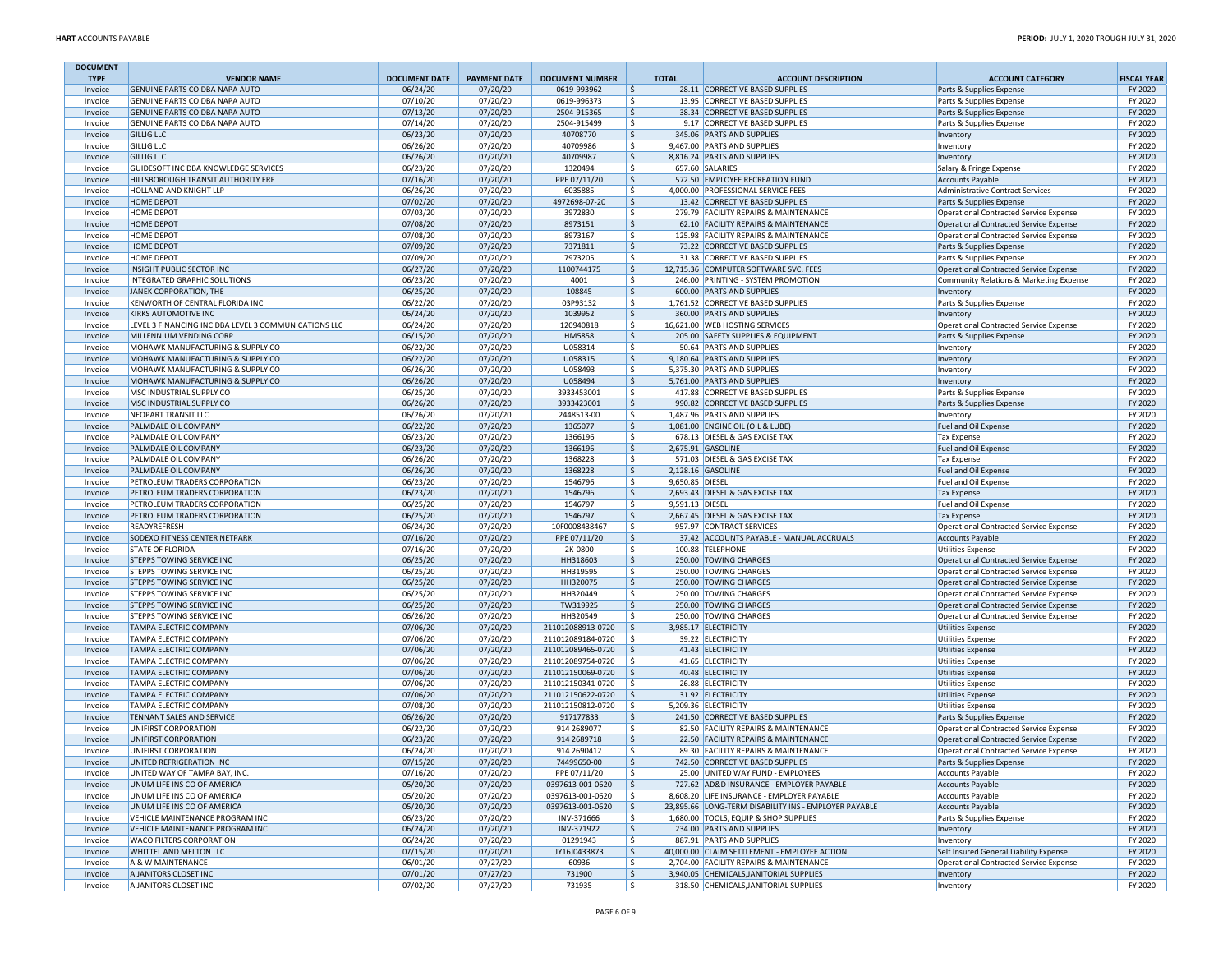| <b>DOCUMENT</b>    |                                                                  |                      |                      |                             |                         |                                                                          |                                                                                  |                    |
|--------------------|------------------------------------------------------------------|----------------------|----------------------|-----------------------------|-------------------------|--------------------------------------------------------------------------|----------------------------------------------------------------------------------|--------------------|
| <b>TYPE</b>        | <b>VENDOR NAME</b>                                               | <b>DOCUMENT DATE</b> | <b>PAYMENT DATE</b>  | <b>DOCUMENT NUMBER</b>      | <b>TOTAL</b>            | <b>ACCOUNT DESCRIPTION</b>                                               | <b>ACCOUNT CATEGORY</b>                                                          | <b>FISCAL YEAR</b> |
| Invoice            | GENUINE PARTS CO DBA NAPA AUTO                                   | 06/24/20             | 07/20/20             | 0619-993962                 | $\frac{1}{2}$           | 28.11 CORRECTIVE BASED SUPPLIES                                          | Parts & Supplies Expense                                                         | FY 2020            |
| Invoice<br>Invoice | GENUINE PARTS CO DBA NAPA AUTO<br>GENUINE PARTS CO DBA NAPA AUTO | 07/10/20<br>07/13/20 | 07/20/20<br>07/20/20 | 0619-996373<br>2504-915365  | l \$<br>l\$             | 13.95 CORRECTIVE BASED SUPPLIES<br>38.34 CORRECTIVE BASED SUPPLIES       | Parts & Supplies Expense<br>Parts & Supplies Expense                             | FY 2020<br>FY 2020 |
| Invoice            | GENUINE PARTS CO DBA NAPA AUTO                                   | 07/14/20             | 07/20/20             | 2504-915499                 | l\$                     | 9.17 CORRECTIVE BASED SUPPLIES                                           | Parts & Supplies Expense                                                         | FY 2020            |
| Invoice            | <b>GILLIG LLC</b>                                                | 06/23/20             | 07/20/20             | 40708770                    | $\frac{1}{2}$           | 345.06 PARTS AND SUPPLIES                                                | Inventory                                                                        | FY 2020            |
| Invoice            | <b>GILLIG LLC</b>                                                | 06/26/20             | 07/20/20             | 40709986                    | \$                      | 9,467.00 PARTS AND SUPPLIES                                              | Inventory                                                                        | FY 2020            |
| Invoice            | <b>GILLIG LLC</b>                                                | 06/26/20             | 07/20/20             | 40709987                    | \$                      | 8,816.24 PARTS AND SUPPLIES                                              | Inventory                                                                        | FY 2020            |
| Invoice            | GUIDESOFT INC DBA KNOWLEDGE SERVICES                             | 06/23/20             | 07/20/20             | 1320494                     | l \$                    | 657.60 SALARIES                                                          | Salary & Fringe Expense                                                          | FY 2020            |
| Invoice            | HILLSBOROUGH TRANSIT AUTHORITY ERF                               | 07/16/20             | 07/20/20             | PPE 07/11/20                | S.                      | 572.50 EMPLOYEE RECREATION FUND                                          | <b>Accounts Payable</b>                                                          | FY 2020            |
| Invoice            | HOLLAND AND KNIGHT LLP                                           | 06/26/20             | 07/20/20             | 6035885                     | S,                      | 4,000.00 PROFESSIONAL SERVICE FEES                                       | Administrative Contract Services                                                 | FY 2020            |
| Invoice            | HOME DEPOT                                                       | 07/02/20             | 07/20/20             | 4972698-07-20               | \$                      | 13.42 CORRECTIVE BASED SUPPLIES                                          | Parts & Supplies Expense                                                         | FY 2020            |
| Invoice            | HOME DEPOT                                                       | 07/03/20             | 07/20/20             | 3972830                     | \$                      | 279.79 FACILITY REPAIRS & MAINTENANCE                                    | Operational Contracted Service Expense                                           | FY 2020            |
| Invoice            | HOME DEPOT                                                       | 07/08/20             | 07/20/20             | 8973151                     | l\$<br>l\$              | 62.10 FACILITY REPAIRS & MAINTENANCE                                     | Operational Contracted Service Expense                                           | FY 2020            |
| Invoice<br>Invoice | HOME DEPOT<br><b>HOME DEPOT</b>                                  | 07/08/20<br>07/09/20 | 07/20/20<br>07/20/20 | 8973167<br>7371811          | $\frac{1}{2}$           | 125.98 FACILITY REPAIRS & MAINTENANCE<br>73.22 CORRECTIVE BASED SUPPLIES | <b>Operational Contracted Service Expense</b><br>Parts & Supplies Expense        | FY 2020<br>FY 2020 |
| Invoice            | HOME DEPOT                                                       | 07/09/20             | 07/20/20             | 7973205                     | \$                      | 31.38 CORRECTIVE BASED SUPPLIES                                          | Parts & Supplies Expense                                                         | FY 2020            |
| Invoice            | INSIGHT PUBLIC SECTOR INC                                        | 06/27/20             | 07/20/20             | 1100744175                  | \$                      | 12,715.36 COMPUTER SOFTWARE SVC. FEES                                    | Operational Contracted Service Expense                                           | FY 2020            |
| Invoice            | INTEGRATED GRAPHIC SOLUTIONS                                     | 06/23/20             | 07/20/20             | 4001                        | l \$                    | 246.00 PRINTING - SYSTEM PROMOTION                                       | Community Relations & Marketing Expense                                          | FY 2020            |
| Invoice            | JANEK CORPORATION, THE                                           | 06/25/20             | 07/20/20             | 108845                      | S.                      | 600.00 PARTS AND SUPPLIES                                                | Inventory                                                                        | FY 2020            |
| Invoice            | KENWORTH OF CENTRAL FLORIDA INC                                  | 06/22/20             | 07/20/20             | 03P93132                    | \$                      | 1,761.52 CORRECTIVE BASED SUPPLIES                                       | Parts & Supplies Expense                                                         | FY 2020            |
| Invoice            | KIRKS AUTOMOTIVE INC                                             | 06/24/20             | 07/20/20             | 1039952                     | $\frac{1}{2}$           | 360.00 PARTS AND SUPPLIES                                                | Inventory                                                                        | FY 2020            |
| Invoice            | LEVEL 3 FINANCING INC DBA LEVEL 3 COMMUNICATIONS LLC             | 06/24/20             | 07/20/20             | 120940818                   | \$                      | 16,621.00 WEB HOSTING SERVICES                                           | Operational Contracted Service Expense                                           | FY 2020            |
| Invoice            | MILLENNIUM VENDING CORP                                          | 06/15/20             | 07/20/20             | <b>HM5858</b>               | l\$                     | 205.00 SAFETY SUPPLIES & EQUIPMENT                                       | Parts & Supplies Expense                                                         | FY 2020            |
| Invoice            | MOHAWK MANUFACTURING & SUPPLY CO                                 | 06/22/20             | 07/20/20             | U058314                     | S.                      | 50.64 PARTS AND SUPPLIES                                                 | Inventory                                                                        | FY 2020            |
| Invoice            | MOHAWK MANUFACTURING & SUPPLY CO                                 | 06/22/20             | 07/20/20             | U058315                     | $\frac{1}{2}$           | 9,180.64 PARTS AND SUPPLIES                                              | Inventory                                                                        | FY 2020            |
| Invoice            | MOHAWK MANUFACTURING & SUPPLY CO                                 | 06/26/20             | 07/20/20             | U058493                     | \$                      | 5,375.30 PARTS AND SUPPLIES                                              | Inventory                                                                        | FY 2020            |
| Invoice            | MOHAWK MANUFACTURING & SUPPLY CO                                 | 06/26/20             | 07/20/20             | U058494                     | \$                      | 5,761.00 PARTS AND SUPPLIES                                              | Inventory                                                                        | FY 2020            |
| Invoice            | MSC INDUSTRIAL SUPPLY CO                                         | 06/25/20             | 07/20/20             | 3933453001                  | l \$<br>S.              | 417.88 CORRECTIVE BASED SUPPLIES                                         | Parts & Supplies Expense                                                         | FY 2020            |
| Invoice<br>Invoice | MSC INDUSTRIAL SUPPLY CO<br>NEOPART TRANSIT LLC                  | 06/26/20<br>06/26/20 | 07/20/20<br>07/20/20 | 3933423001<br>2448513-00    | \$                      | 990.82 CORRECTIVE BASED SUPPLIES<br>1.487.96 PARTS AND SUPPLIES          | Parts & Supplies Expense                                                         | FY 2020<br>FY 2020 |
| Invoice            | PALMDALE OIL COMPANY                                             | 06/22/20             | 07/20/20             | 1365077                     | \$                      | 1,081.00 ENGINE OIL (OIL & LUBE)                                         | Inventory<br>Fuel and Oil Expense                                                | FY 2020            |
| Invoice            | PALMDALE OIL COMPANY                                             | 06/23/20             | 07/20/20             | 1366196                     | \$                      | 678.13 DIESEL & GAS EXCISE TAX                                           | <b>Tax Expense</b>                                                               | FY 2020            |
| Invoice            | PALMDALE OIL COMPANY                                             | 06/23/20             | 07/20/20             | 1366196                     | l\$                     | 2.675.91 GASOLINE                                                        | Fuel and Oil Expense                                                             | FY 2020            |
| Invoice            | PALMDALE OIL COMPANY                                             | 06/26/20             | 07/20/20             | 1368228                     | S.                      | 571.03 DIESEL & GAS EXCISE TAX                                           | <b>Tax Expense</b>                                                               | FY 2020            |
| Invoice            | PALMDALE OIL COMPANY                                             | 06/26/20             | 07/20/20             | 1368228                     | \$                      | 2,128.16 GASOLINE                                                        | Fuel and Oil Expense                                                             | FY 2020            |
| Invoice            | PETROLEUM TRADERS CORPORATION                                    | 06/23/20             | 07/20/20             | 1546796                     | \$<br>9,650.85 DIESEL   |                                                                          | Fuel and Oil Expense                                                             | FY 2020            |
| Invoice            | PETROLEUM TRADERS CORPORATION                                    | 06/23/20             | 07/20/20             | 1546796                     | \$                      | 2,693.43 DIESEL & GAS EXCISE TAX                                         | <b>Tax Expense</b>                                                               | FY 2020            |
| Invoice            | PETROLEUM TRADERS CORPORATION                                    | 06/25/20             | 07/20/20             | 1546797                     | l \$<br>9.591.13 DIESEL |                                                                          | Fuel and Oil Expense                                                             | FY 2020            |
| Invoice            | PETROLEUM TRADERS CORPORATION                                    | 06/25/20             | 07/20/20             | 1546797                     | S.                      | 2,667.45 DIESEL & GAS EXCISE TAX                                         | <b>Tax Expense</b>                                                               | FY 2020            |
| Invoice            | READYREFRESH                                                     | 06/24/20             | 07/20/20             | 10F0008438467               | l \$                    | 957.97 CONTRACT SERVICES                                                 | Operational Contracted Service Expense                                           | FY 2020            |
| Invoice            | SODEXO FITNESS CENTER NETPARK                                    | 07/16/20             | 07/20/20             | PPE 07/11/20                | $\frac{1}{2}$           | 37.42 ACCOUNTS PAYABLE - MANUAL ACCRUALS                                 | <b>Accounts Payable</b>                                                          | FY 2020            |
| Invoice            | STATE OF FLORIDA                                                 | 07/16/20             | 07/20/20             | 2K-0800                     | \$                      | 100.88 TELEPHONE                                                         | <b>Utilities Expense</b>                                                         | FY 2020            |
| Invoice            | STEPPS TOWING SERVICE INC                                        | 06/25/20             | 07/20/20             | HH318603                    | l\$                     | 250.00 TOWING CHARGES                                                    | Operational Contracted Service Expense                                           | FY 2020            |
| Invoice            | STEPPS TOWING SERVICE INC                                        | 06/25/20             | 07/20/20             | HH319595                    | l\$                     | 250.00 TOWING CHARGES                                                    | <b>Operational Contracted Service Expense</b>                                    | FY 2020            |
| Invoice            | STEPPS TOWING SERVICE INC<br>STEPPS TOWING SERVICE INC           | 06/25/20<br>06/25/20 | 07/20/20<br>07/20/20 | HH320075<br>HH320449        | $\frac{1}{2}$<br>\$     | 250.00 TOWING CHARGES<br>250.00 TOWING CHARGES                           | Operational Contracted Service Expense<br>Operational Contracted Service Expense | FY 2020<br>FY 2020 |
| Invoice<br>Invoice | STEPPS TOWING SERVICE INC                                        | 06/25/20             | 07/20/20             | TW319925                    | \$                      | 250.00 TOWING CHARGES                                                    | Operational Contracted Service Expense                                           | FY 2020            |
| Invoice            | STEPPS TOWING SERVICE INC                                        | 06/26/20             | 07/20/20             | HH320549                    | l \$                    | 250.00 TOWING CHARGES                                                    | Operational Contracted Service Expense                                           | FY 2020            |
| Invoice            | TAMPA ELECTRIC COMPANY                                           | 07/06/20             | 07/20/20             | 211012088913-0720           | l\$                     | 3,985.17 ELECTRICITY                                                     | <b>Utilities Expense</b>                                                         | FY 2020            |
| Invoice            | TAMPA ELECTRIC COMPANY                                           | 07/06/20             | 07/20/20             | 211012089184-0720           | l \$                    | 39.22 ELECTRICITY                                                        | <b>Utilities Expense</b>                                                         | FY 2020            |
| Invoice            | TAMPA ELECTRIC COMPANY                                           | 07/06/20             | 07/20/20             | 211012089465-0720           | ۱\$                     | 41.43 ELECTRICITY                                                        | <b>Utilities Expense</b>                                                         | FY 2020            |
| Invoice            | TAMPA ELECTRIC COMPANY                                           | 07/06/20             | 07/20/20             | 211012089754-0720           | l \$                    | 41.65 ELECTRICITY                                                        | <b>Utilities Expense</b>                                                         | FY 2020            |
| Invoice            | TAMPA ELECTRIC COMPANY                                           | 07/06/20             | 07/20/20             | 211012150069-0720           | I \$                    | 40.48 ELECTRICITY                                                        | <b>Utilities Expense</b>                                                         | FY 2020            |
| Invoice            | TAMPA ELECTRIC COMPANY                                           | 07/06/20             | 07/20/20             | 211012150341-0720           | l \$                    | 26.88 ELECTRICITY                                                        | <b>Utilities Expense</b>                                                         | FY 2020            |
| Invoice            | TAMPA ELECTRIC COMPANY                                           | 07/06/20             | 07/20/20             | 211012150622-0720           | I \$                    | 31.92 ELECTRICITY                                                        | <b>Utilities Expense</b>                                                         | FY 2020            |
| Invoice            | TAMPA ELECTRIC COMPANY                                           | 07/08/20             | 07/20/20             | 211012150812-0720           | ۱\$                     | 5,209.36 ELECTRICITY                                                     | <b>Utilities Expense</b>                                                         | FY 2020            |
| Invoice            | TENNANT SALES AND SERVICE                                        | 06/26/20             | 07/20/20             | 917177833                   | \$                      | 241.50 CORRECTIVE BASED SUPPLIES                                         | Parts & Supplies Expense                                                         | FY 2020            |
| Invoice            | UNIFIRST CORPORATION                                             | 06/22/20             | 07/20/20             | 914 2689077                 | l \$                    | 82.50 FACILITY REPAIRS & MAINTENANCE                                     | Operational Contracted Service Expense                                           | FY 2020            |
| Invoice            | UNIFIRST CORPORATION                                             | 06/23/20             | 07/20/20             | 914 2689718                 | I\$                     | 22.50 FACILITY REPAIRS & MAINTENANCE                                     | Operational Contracted Service Expense                                           | FY 2020            |
| Invoice            | UNIFIRST CORPORATION                                             | 06/24/20             | 07/20/20             | 914 2690412                 | \$                      | 89.30 FACILITY REPAIRS & MAINTENANCE                                     | Operational Contracted Service Expense                                           | FY 2020            |
| Invoice            | UNITED REFRIGERATION INC<br>UNITED WAY OF TAMPA BAY, INC.        | 07/15/20<br>07/16/20 | 07/20/20             | 74499650-00<br>PPE 07/11/20 | \$<br>l \$              | 742.50 CORRECTIVE BASED SUPPLIES<br>25.00 UNITED WAY FUND - EMPLOYEES    | Parts & Supplies Expense<br><b>Accounts Payable</b>                              | FY 2020<br>FY 2020 |
| Invoice<br>Invoice | UNUM LIFE INS CO OF AMERICA                                      | 05/20/20             | 07/20/20<br>07/20/20 | 0397613-001-0620            | I \$                    | 727.62 AD&D INSURANCE - EMPLOYER PAYABLE                                 | Accounts Payable                                                                 | FY 2020            |
| Invoice            | UNUM LIFE INS CO OF AMERICA                                      | 05/20/20             | 07/20/20             | 0397613-001-0620            | l \$                    | 8.608.20 LIFE INSURANCE - EMPLOYER PAYABLE                               | <b>Accounts Payable</b>                                                          | FY 2020            |
| Invoice            | UNUM LIFE INS CO OF AMERICA                                      | 05/20/20             | 07/20/20             | 0397613-001-0620            | l\$                     | 23,895.66 LONG-TERM DISABILITY INS - EMPLOYER PAYABLE                    | <b>Accounts Payable</b>                                                          | FY 2020            |
| Invoice            | VEHICLE MAINTENANCE PROGRAM INC                                  | 06/23/20             | 07/20/20             | INV-371666                  | \$                      | 1,680.00 TOOLS, EQUIP & SHOP SUPPLIES                                    | Parts & Supplies Expense                                                         | FY 2020            |
| Invoice            | VEHICLE MAINTENANCE PROGRAM INC                                  | 06/24/20             | 07/20/20             | INV-371922                  | l \$                    | 234.00 PARTS AND SUPPLIES                                                | Inventory                                                                        | FY 2020            |
| Invoice            | WACO FILTERS CORPORATION                                         | 06/24/20             | 07/20/20             | 01291943                    | l \$                    | 887.91 PARTS AND SUPPLIES                                                | Inventory                                                                        | FY 2020            |
| Invoice            | WHITTEL AND MELTON LLC                                           | 07/15/20             | 07/20/20             | JY16J0433873                | ۱\$                     | 40,000.00 CLAIM SETTLEMENT - EMPLOYEE ACTION                             | Self Insured General Liability Expense                                           | FY 2020            |
| Invoice            | A & W MAINTENANCE                                                | 06/01/20             | 07/27/20             | 60936                       | S,                      | 2,704.00 FACILITY REPAIRS & MAINTENANCE                                  | Operational Contracted Service Expense                                           | FY 2020            |
| Invoice            | A JANITORS CLOSET INC                                            | 07/01/20             | 07/27/20             | 731900                      | $\frac{1}{2}$           | 3,940.05 CHEMICALS, JANITORIAL SUPPLIES                                  | Inventory                                                                        | FY 2020            |
| Invoice            | A JANITORS CLOSET INC                                            | 07/02/20             | 07/27/20             | 731935                      | l \$                    | 318.50 CHEMICALS, JANITORIAL SUPPLIES                                    | Inventory                                                                        | FY 2020            |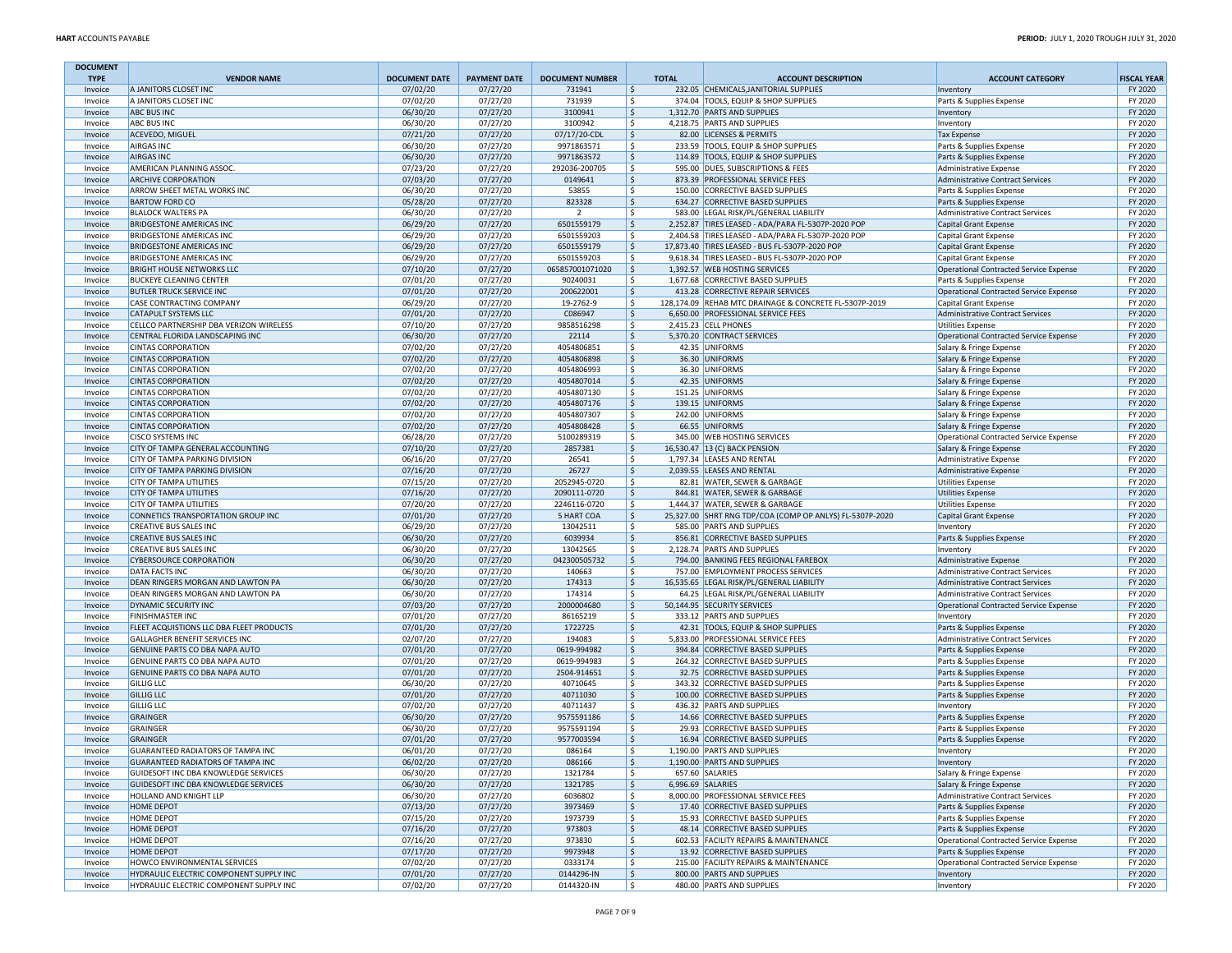| <b>DOCUMENT</b>    |                                                                            |                      |                      |                              |                          |                                                                                              |                                                                     |                    |
|--------------------|----------------------------------------------------------------------------|----------------------|----------------------|------------------------------|--------------------------|----------------------------------------------------------------------------------------------|---------------------------------------------------------------------|--------------------|
| <b>TYPE</b>        | <b>VENDOR NAME</b>                                                         | <b>DOCUMENT DATE</b> | <b>PAYMENT DATE</b>  | <b>DOCUMENT NUMBER</b>       | <b>TOTAL</b>             | <b>ACCOUNT DESCRIPTION</b>                                                                   | <b>ACCOUNT CATEGORY</b>                                             | <b>FISCAL YEAR</b> |
| Invoice            | A JANITORS CLOSET INC                                                      | 07/02/20             | 07/27/20             | 731941                       | \$                       | 232.05 CHEMICALS, JANITORIAL SUPPLIES                                                        | Inventory                                                           | FY 2020            |
| Invoice<br>Invoice | A JANITORS CLOSET INC<br><b>ABC BUS INC</b>                                | 07/02/20<br>06/30/20 | 07/27/20<br>07/27/20 | 731939<br>3100941            | \$<br>l\$                | 374.04 TOOLS, EQUIP & SHOP SUPPLIES<br>1.312.70 PARTS AND SUPPLIES                           | Parts & Supplies Expense<br>Inventory                               | FY 2020<br>FY 2020 |
| Invoice            | <b>ABC BUS INC</b>                                                         | 06/30/20             | 07/27/20             | 3100942                      | S,                       | 4,218.75 PARTS AND SUPPLIES                                                                  | Inventory                                                           | FY 2020            |
| Invoice            | ACEVEDO, MIGUEL                                                            | 07/21/20             | 07/27/20             | 07/17/20-CDL                 | ۱\$                      | 82.00 LICENSES & PERMITS                                                                     | <b>Tax Expense</b>                                                  | FY 2020            |
| Invoice            | AIRGAS INC                                                                 | 06/30/20             | 07/27/20             | 9971863571                   | \$                       | 233.59 TOOLS, EQUIP & SHOP SUPPLIES                                                          | Parts & Supplies Expense                                            | FY 2020            |
| Invoice            | <b>AIRGAS INC</b>                                                          | 06/30/20             | 07/27/20             | 9971863572                   | ۱\$                      | 114.89 TOOLS, EQUIP & SHOP SUPPLIES                                                          | Parts & Supplies Expense                                            | FY 2020            |
| Invoice            | AMERICAN PLANNING ASSOC.                                                   | 07/23/20             | 07/27/20             | 292036-200705                | l \$                     | 595.00 DUES, SUBSCRIPTIONS & FEES                                                            | Administrative Expense                                              | FY 2020            |
| Invoice            | ARCHIVE CORPORATION                                                        | 07/03/20             | 07/27/20             | 0149641                      | \$                       | 873.39 PROFESSIONAL SERVICE FEES                                                             | Administrative Contract Services                                    | FY 2020            |
| Invoice            | ARROW SHEET METAL WORKS INC                                                | 06/30/20             | 07/27/20             | 53855                        | l \$                     | 150.00 CORRECTIVE BASED SUPPLIES                                                             | Parts & Supplies Expense                                            | FY 2020            |
| Invoice            | <b>BARTOW FORD CO</b>                                                      | 05/28/20             | 07/27/20             | 823328                       | $\frac{1}{2}$            | 634.27 CORRECTIVE BASED SUPPLIES                                                             | Parts & Supplies Expense                                            | FY 2020            |
| Invoice            | <b>BLALOCK WALTERS PA</b><br><b>BRIDGESTONE AMERICAS INC</b>               | 06/30/20             | 07/27/20             | $\overline{2}$<br>6501559179 | \$<br>l\$                | 583.00 LEGAL RISK/PL/GENERAL LIABILITY<br>2,252.87 TIRES LEASED - ADA/PARA FL-5307P-2020 POP | Administrative Contract Services                                    | FY 2020<br>FY 2020 |
| Invoice<br>Invoice | BRIDGESTONE AMERICAS INC                                                   | 06/29/20<br>06/29/20 | 07/27/20<br>07/27/20 | 6501559203                   | \$                       | 2,404.58 TIRES LEASED - ADA/PARA FL-5307P-2020 POP                                           | Capital Grant Expense<br>Capital Grant Expense                      | FY 2020            |
| Invoice            | <b>BRIDGESTONE AMERICAS INC</b>                                            | 06/29/20             | 07/27/20             | 6501559179                   | l\$                      | 17,873.40 TIRES LEASED - BUS FL-5307P-2020 POP                                               | <b>Capital Grant Expense</b>                                        | FY 2020            |
| Invoice            | BRIDGESTONE AMERICAS INC                                                   | 06/29/20             | 07/27/20             | 6501559203                   | l \$                     | 9,618.34 TIRES LEASED - BUS FL-5307P-2020 POP                                                | Capital Grant Expense                                               | FY 2020            |
| Invoice            | <b>BRIGHT HOUSE NETWORKS LLC</b>                                           | 07/10/20             | 07/27/20             | 065857001071020              | ۱\$                      | 1,392.57 WEB HOSTING SERVICES                                                                | Operational Contracted Service Expense                              | FY 2020            |
| Invoice            | <b>BUCKEYE CLEANING CENTER</b>                                             | 07/01/20             | 07/27/20             | 90240031                     | l \$                     | 1,677.68 CORRECTIVE BASED SUPPLIES                                                           | Parts & Supplies Expense                                            | FY 2020            |
| Invoice            | <b>BUTLER TRUCK SERVICE INC</b>                                            | 07/01/20             | 07/27/20             | 200622001                    | ۱\$.                     | 413.28 CORRECTIVE REPAIR SERVICES                                                            | Operational Contracted Service Expense                              | FY 2020            |
| Invoice            | CASE CONTRACTING COMPANY                                                   | 06/29/20             | 07/27/20             | 19-2762-9                    | l \$                     | 128,174.09 REHAB MTC DRAINAGE & CONCRETE FL-5307P-2019                                       | Capital Grant Expense                                               | FY 2020            |
| Invoice            | CATAPULT SYSTEMS LLC                                                       | 07/01/20             | 07/27/20             | C086947                      | $\frac{1}{2}$            | 6,650.00 PROFESSIONAL SERVICE FEES                                                           | Administrative Contract Services                                    | FY 2020            |
| Invoice            | CELLCO PARTNERSHIP DBA VERIZON WIRELESS                                    | 07/10/20             | 07/27/20             | 9858516298                   | \$                       | 2,415.23 CELL PHONES                                                                         | Utilities Expense                                                   | FY 2020            |
| Invoice            | CENTRAL FLORIDA LANDSCAPING INC                                            | 06/30/20             | 07/27/20             | 22114                        | \$                       | 5,370.20 CONTRACT SERVICES                                                                   | Operational Contracted Service Expense                              | FY 2020            |
| Invoice            | <b>CINTAS CORPORATION</b>                                                  | 07/02/20             | 07/27/20             | 4054806851                   | \$                       | 42.35 UNIFORMS                                                                               | Salary & Fringe Expense                                             | FY 2020            |
| Invoice<br>Invoice | <b>CINTAS CORPORATION</b><br><b>CINTAS CORPORATION</b>                     | 07/02/20<br>07/02/20 | 07/27/20<br>07/27/20 | 4054806898<br>4054806993     | l\$<br> \$               | 36.30 UNIFORMS<br>36.30 UNIFORMS                                                             | Salary & Fringe Expense<br>Salary & Fringe Expense                  | FY 2020<br>FY 2020 |
| Invoice            | <b>CINTAS CORPORATION</b>                                                  | 07/02/20             | 07/27/20             | 4054807014                   | $\frac{1}{2}$            | 42.35 UNIFORMS                                                                               | Salary & Fringe Expense                                             | FY 2020            |
| Invoice            | <b>CINTAS CORPORATION</b>                                                  | 07/02/20             | 07/27/20             | 4054807130                   | l \$                     | 151.25 UNIFORMS                                                                              | Salary & Fringe Expense                                             | FY 2020            |
| Invoice            | <b>CINTAS CORPORATION</b>                                                  | 07/02/20             | 07/27/20             | 4054807176                   | \$                       | 139.15 UNIFORMS                                                                              | Salary & Fringe Expense                                             | FY 2020            |
| Invoice            | <b>CINTAS CORPORATION</b>                                                  | 07/02/20             | 07/27/20             | 4054807307                   | l \$                     | 242.00 UNIFORMS                                                                              | Salary & Fringe Expense                                             | FY 2020            |
| Invoice            | <b>CINTAS CORPORATION</b>                                                  | 07/02/20             | 07/27/20             | 4054808428                   | \$                       | 66.55 UNIFORMS                                                                               | Salary & Fringe Expense                                             | FY 2020            |
| Invoice            | <b>CISCO SYSTEMS INC</b>                                                   | 06/28/20             | 07/27/20             | 5100289319                   | \$                       | 345.00 WEB HOSTING SERVICES                                                                  | Operational Contracted Service Expense                              | FY 2020            |
| Invoice            | CITY OF TAMPA GENERAL ACCOUNTING                                           | 07/10/20             | 07/27/20             | 2857381                      | \$                       | 16,530.47 13 (C) BACK PENSION                                                                | Salary & Fringe Expense                                             | FY 2020            |
| Invoice            | CITY OF TAMPA PARKING DIVISION                                             | 06/16/20             | 07/27/20             | 26541                        | \$                       | 1,797.34 LEASES AND RENTAL                                                                   | Administrative Expense                                              | FY 2020            |
| Invoice            | CITY OF TAMPA PARKING DIVISION                                             | 07/16/20             | 07/27/20             | 26727                        | ۱\$                      | 2,039.55 LEASES AND RENTAL                                                                   | Administrative Expense                                              | FY 2020            |
| Invoice            | CITY OF TAMPA UTILITIES<br>CITY OF TAMPA UTILITIES                         | 07/15/20<br>07/16/20 | 07/27/20<br>07/27/20 | 2052945-0720<br>2090111-0720 | l \$<br>۱\$              | 82.81 WATER, SEWER & GARBAGE<br>844.81 WATER, SEWER & GARBAGE                                | <b>Utilities Expense</b>                                            | FY 2020<br>FY 2020 |
| Invoice<br>Invoice | CITY OF TAMPA UTILITIES                                                    | 07/20/20             | 07/27/20             | 2246116-0720                 | l \$                     | 1,444.37 WATER, SEWER & GARBAGE                                                              | Utilities Expense<br><b>Utilities Expense</b>                       | FY 2020            |
| Invoice            | CONNETICS TRANSPORTATION GROUP INC                                         | 07/01/20             | 07/27/20             | 5 HART COA                   | l\$                      | 25,327.00 SHRT RNG TDP/COA (COMP OP ANLYS) FL-5307P-2020                                     | Capital Grant Expense                                               | FY 2020            |
| Invoice            | CREATIVE BUS SALES INC                                                     | 06/29/20             | 07/27/20             | 13042511                     | l \$                     | 585.00 PARTS AND SUPPLIES                                                                    | Inventory                                                           | FY 2020            |
| Invoice            | <b>CREATIVE BUS SALES INC</b>                                              | 06/30/20             | 07/27/20             | 6039934                      | \$                       | 856.81 CORRECTIVE BASED SUPPLIES                                                             | Parts & Supplies Expense                                            | FY 2020            |
| Invoice            | CREATIVE BUS SALES INC                                                     | 06/30/20             | 07/27/20             | 13042565                     | \$                       | 2,128.74 PARTS AND SUPPLIES                                                                  | Inventory                                                           | FY 2020            |
| Invoice            | <b>CYBERSOURCE CORPORATION</b>                                             | 06/30/20             | 07/27/20             | 042300505732                 | l\$                      | 794.00 BANKING FEES REGIONAL FAREBOX                                                         | Administrative Expense                                              | FY 2020            |
| Invoice            | DATA FACTS INC                                                             | 06/30/20             | 07/27/20             | 140663                       | ۱\$.                     | 757.00 EMPLOYMENT PROCESS SERVICES                                                           | <b>Administrative Contract Services</b>                             | FY 2020            |
| Invoice            | DEAN RINGERS MORGAN AND LAWTON PA                                          | 06/30/20             | 07/27/20             | 174313                       | l\$                      | 16,535.65 LEGAL RISK/PL/GENERAL LIABILITY                                                    | <b>Administrative Contract Services</b>                             | FY 2020            |
| Invoice            | DEAN RINGERS MORGAN AND LAWTON PA                                          | 06/30/20             | 07/27/20             | 174314                       | \$                       | 64.25 LEGAL RISK/PL/GENERAL LIABILITY                                                        | <b>Administrative Contract Services</b>                             | FY 2020            |
| Invoice            | DYNAMIC SECURITY INC                                                       | 07/03/20             | 07/27/20             | 2000004680                   | ۱\$                      | 50,144.95 SECURITY SERVICES                                                                  | Operational Contracted Service Expense                              | FY 2020            |
| Invoice            | FINISHMASTER INC                                                           | 07/01/20             | 07/27/20             | 86165219                     | l \$<br>۱\$              | 333.12 PARTS AND SUPPLIES                                                                    | Inventory                                                           | FY 2020            |
| Invoice<br>Invoice | FLEET ACQUISTIONS LLC DBA FLEET PRODUCTS<br>GALLAGHER BENEFIT SERVICES INC | 07/01/20<br>02/07/20 | 07/27/20<br>07/27/20 | 1722725<br>194083            | l \$                     | 42.31 TOOLS, EQUIP & SHOP SUPPLIES<br>5,833.00 PROFESSIONAL SERVICE FEES                     | Parts & Supplies Expense<br><b>Administrative Contract Services</b> | FY 2020<br>FY 2020 |
| Invoice            | GENUINE PARTS CO DBA NAPA AUTO                                             | 07/01/20             | 07/27/20             | 0619-994982                  | \$                       | 394.84 CORRECTIVE BASED SUPPLIES                                                             | Parts & Supplies Expense                                            | FY 2020            |
| Invoice            | GENUINE PARTS CO DBA NAPA AUTO                                             | 07/01/20             | 07/27/20             | 0619-994983                  | \$                       | 264.32 CORRECTIVE BASED SUPPLIES                                                             | Parts & Supplies Expense                                            | FY 2020            |
| Invoice            | GENUINE PARTS CO DBA NAPA AUTO                                             | 07/01/20             | 07/27/20             | 2504-914651                  | l\$                      | 32.75 CORRECTIVE BASED SUPPLIES                                                              | Parts & Supplies Expense                                            | FY 2020            |
| Invoice            | <b>GILLIG LLC</b>                                                          | 06/30/20             | 07/27/20             | 40710645                     | \$                       | 343.32 CORRECTIVE BASED SUPPLIES                                                             | Parts & Supplies Expense                                            | FY 2020            |
| Invoice            | <b>GILLIG LLC</b>                                                          | 07/01/20             | 07/27/20             | 40711030                     | l\$                      | 100.00 CORRECTIVE BASED SUPPLIES                                                             | Parts & Supplies Expense                                            | FY 2020            |
| Invoice            | <b>GILLIG LLC</b>                                                          | 07/02/20             | 07/27/20             | 40711437                     | \$                       | 436.32 PARTS AND SUPPLIES                                                                    | Inventory                                                           | FY 2020            |
| Invoice            | <b>GRAINGER</b>                                                            | 06/30/20             | 07/27/20             | 9575591186                   | $\frac{1}{2}$            | 14.66 CORRECTIVE BASED SUPPLIES                                                              | Parts & Supplies Expense                                            | FY 2020            |
| Invoice            | <b>GRAINGER</b>                                                            | 06/30/20             | 07/27/20             | 9575591194                   | l \$                     | 29.93 CORRECTIVE BASED SUPPLIES                                                              | Parts & Supplies Expense                                            | FY 2020            |
| Invoice            | <b>GRAINGER</b><br><b>GUARANTEED RADIATORS OF TAMPA INC</b>                | 07/01/20             | 07/27/20             | 9577003594                   | ۱\$.                     | 16.94 CORRECTIVE BASED SUPPLIES<br>1.190.00 PARTS AND SUPPLIES                               | Parts & Supplies Expense                                            | FY 2020            |
| Invoice            |                                                                            | 06/01/20             | 07/27/20             | 086164                       | l \$                     |                                                                                              | Inventory                                                           | FY 2020            |
| Invoice<br>Invoice | GUARANTEED RADIATORS OF TAMPA INC<br>GUIDESOFT INC DBA KNOWLEDGE SERVICES  | 06/02/20<br>06/30/20 | 07/27/20<br>07/27/20 | 086166<br>1321784            | ۱\$.<br>l \$             | 1,190.00 PARTS AND SUPPLIES<br>657.60 SALARIES                                               | Inventory<br>Salary & Fringe Expense                                | FY 2020<br>FY 2020 |
| Invoice            | GUIDESOFT INC DBA KNOWLEDGE SERVICES                                       | 06/30/20             | 07/27/20             | 1321785                      | l\$                      | 6,996.69 SALARIES                                                                            | Salary & Fringe Expense                                             | FY 2020            |
| Invoice            | HOLLAND AND KNIGHT LLP                                                     | 06/30/20             | 07/27/20             | 6036802                      | l \$                     | 8,000.00 PROFESSIONAL SERVICE FEES                                                           | Administrative Contract Services                                    | FY 2020            |
| Invoice            | HOME DEPOT                                                                 | 07/13/20             | 07/27/20             | 3973469                      | l \$                     | 17.40 CORRECTIVE BASED SUPPLIES                                                              | Parts & Supplies Expense                                            | FY 2020            |
| Invoice            | HOME DEPOT                                                                 | 07/15/20             | 07/27/20             | 1973739                      | $\overline{\phantom{a}}$ | 15.93 CORRECTIVE BASED SUPPLIES                                                              | Parts & Supplies Expense                                            | FY 2020            |
| Invoice            | <b>HOME DEPOT</b>                                                          | 07/16/20             | 07/27/20             | 973803                       | $\frac{1}{2}$            | 48.14 CORRECTIVE BASED SUPPLIES                                                              | Parts & Supplies Expense                                            | FY 2020            |
| Invoice            | HOME DEPOT                                                                 | 07/16/20             | 07/27/20             | 973830                       | l \$                     | 602.53 FACILITY REPAIRS & MAINTENANCE                                                        | Operational Contracted Service Expense                              | FY 2020            |
| Invoice            | HOME DEPOT                                                                 | 07/17/20             | 07/27/20             | 9973948                      | \$                       | 13.92 CORRECTIVE BASED SUPPLIES                                                              | Parts & Supplies Expense                                            | FY 2020            |
| Invoice            | HOWCO ENVIRONMENTAL SERVICES                                               | 07/02/20             | 07/27/20             | 0333174                      | l \$                     | 215.00 FACILITY REPAIRS & MAINTENANCE                                                        | Operational Contracted Service Expense                              | FY 2020            |
| Invoice            | HYDRAULIC ELECTRIC COMPONENT SUPPLY INC                                    | 07/01/20             | 07/27/20             | 0144296-IN                   | $\frac{1}{2}$            | 800.00 PARTS AND SUPPLIES                                                                    | Inventory                                                           | FY 2020            |
| Invoice            | HYDRAULIC ELECTRIC COMPONENT SUPPLY INC                                    | 07/02/20             | 07/27/20             | 0144320-IN                   | l \$                     | 480.00 PARTS AND SUPPLIES                                                                    | Inventory                                                           | FY 2020            |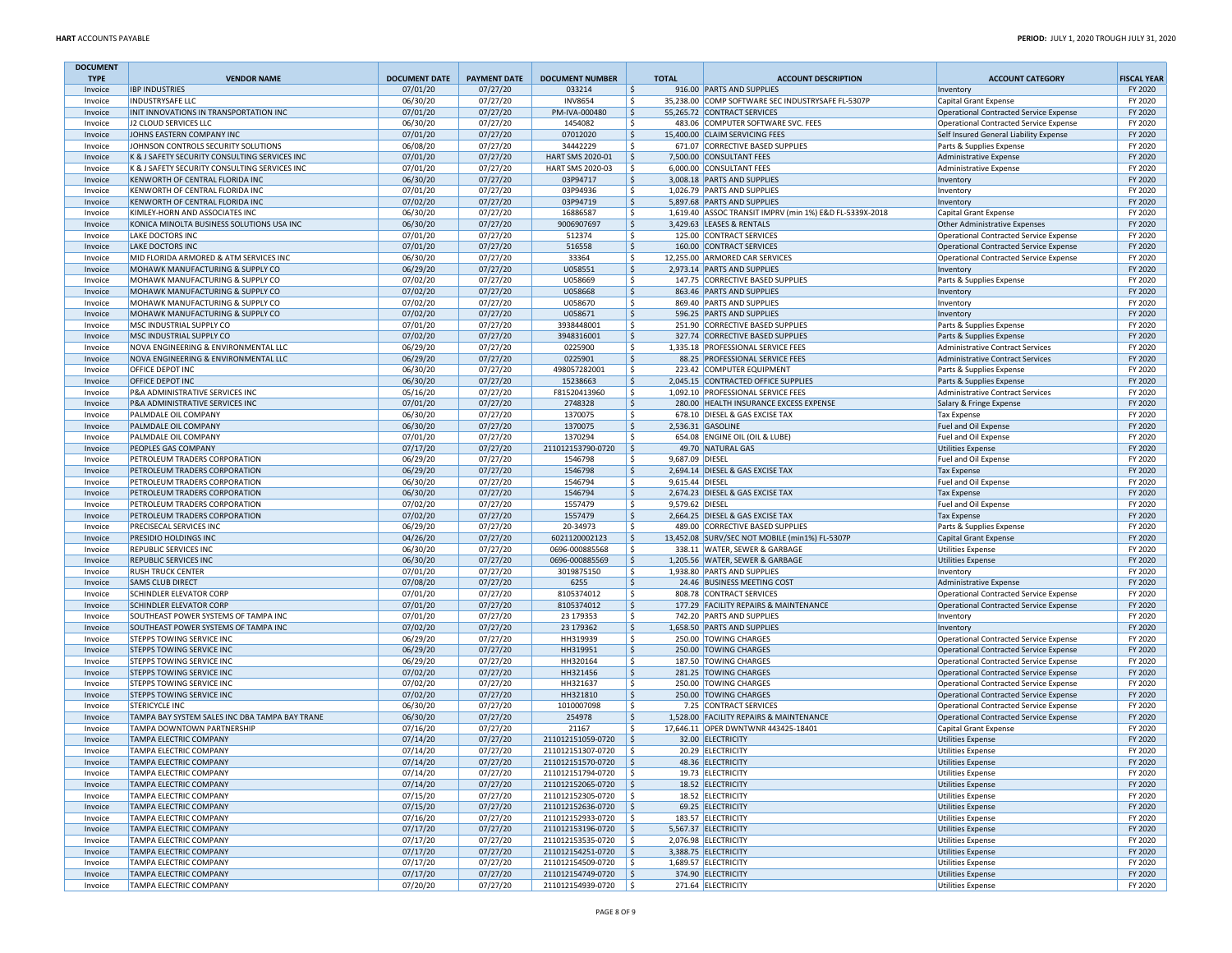| <b>DOCUMENT</b>    |                                                                                                |                      |                      |                                        |                                           |                                                                                    |                                                                                    |                    |
|--------------------|------------------------------------------------------------------------------------------------|----------------------|----------------------|----------------------------------------|-------------------------------------------|------------------------------------------------------------------------------------|------------------------------------------------------------------------------------|--------------------|
| <b>TYPE</b>        | <b>VENDOR NAME</b><br><b>IBP INDUSTRIES</b>                                                    | <b>DOCUMENT DATE</b> | <b>PAYMENT DATE</b>  | <b>DOCUMENT NUMBER</b>                 | <b>TOTAL</b>                              | <b>ACCOUNT DESCRIPTION</b><br>916.00 PARTS AND SUPPLIES                            | <b>ACCOUNT CATEGORY</b>                                                            | <b>FISCAL YEAR</b> |
| Invoice<br>Invoice | INDUSTRYSAFE LLC                                                                               | 07/01/20<br>06/30/20 | 07/27/20<br>07/27/20 | 033214<br><b>INV8654</b>               | \$<br>l \$                                | 35,238.00 COMP SOFTWARE SEC INDUSTRYSAFE FL-5307P                                  | Inventory<br>Capital Grant Expense                                                 | FY 2020<br>FY 2020 |
| Invoice            | INIT INNOVATIONS IN TRANSPORTATION INC                                                         | 07/01/20             | 07/27/20             | PM-IVA-000480                          | I \$                                      | 55,265.72 CONTRACT SERVICES                                                        | Operational Contracted Service Expense                                             | FY 2020            |
| Invoice            | J2 CLOUD SERVICES LLC                                                                          | 06/30/20             | 07/27/20             | 1454082                                | S.                                        | 483.06 COMPUTER SOFTWARE SVC. FEES                                                 | Operational Contracted Service Expense                                             | FY 2020            |
| Invoice            | JOHNS EASTERN COMPANY INC                                                                      | 07/01/20             | 07/27/20             | 07012020                               | \$                                        | 15,400.00 CLAIM SERVICING FEES                                                     | Self Insured General Liability Expense                                             | FY 2020            |
| Invoice            | JOHNSON CONTROLS SECURITY SOLUTIONS                                                            | 06/08/20             | 07/27/20             | 34442229                               | \$                                        | 671.07 CORRECTIVE BASED SUPPLIES                                                   | Parts & Supplies Expense                                                           | FY 2020            |
| Invoice<br>Invoice | K & J SAFETY SECURITY CONSULTING SERVICES INC<br>K & J SAFETY SECURITY CONSULTING SERVICES INC | 07/01/20<br>07/01/20 | 07/27/20<br>07/27/20 | HART SMS 2020-01<br>HART SMS 2020-03   | ۱\$.<br>l \$                              | 7,500.00 CONSULTANT FEES<br>6,000.00 CONSULTANT FEES                               | <b>Administrative Expense</b><br>Administrative Expense                            | FY 2020<br>FY 2020 |
| Invoice            | KENWORTH OF CENTRAL FLORIDA INC                                                                | 06/30/20             | 07/27/20             | 03P94717                               | \$                                        | 3,008.18 PARTS AND SUPPLIES                                                        | Inventory                                                                          | FY 2020            |
| Invoice            | KENWORTH OF CENTRAL FLORIDA INC                                                                | 07/01/20             | 07/27/20             | 03P94936                               | S,                                        | 1,026.79 PARTS AND SUPPLIES                                                        | Inventory                                                                          | FY 2020            |
| Invoice            | KENWORTH OF CENTRAL FLORIDA INC                                                                | 07/02/20             | 07/27/20             | 03P94719                               | \$                                        | 5,897.68 PARTS AND SUPPLIES                                                        | Inventory                                                                          | FY 2020            |
| Invoice            | KIMLEY-HORN AND ASSOCIATES INC                                                                 | 06/30/20             | 07/27/20             | 16886587                               | \$                                        | 1,619.40 ASSOC TRANSIT IMPRV (min 1%) E&D FL-5339X-2018                            | Capital Grant Expense                                                              | FY 2020            |
| Invoice            | KONICA MINOLTA BUSINESS SOLUTIONS USA INC                                                      | 06/30/20             | 07/27/20             | 9006907697                             | l\$                                       | 3,429.63 LEASES & RENTALS                                                          | Other Administrative Expenses                                                      | FY 2020            |
| Invoice            | LAKE DOCTORS INC                                                                               | 07/01/20             | 07/27/20             | 512374                                 | S.                                        | 125.00 CONTRACT SERVICES                                                           | Operational Contracted Service Expense                                             | FY 2020            |
| Invoice            | LAKE DOCTORS INC                                                                               | 07/01/20<br>06/30/20 | 07/27/20<br>07/27/20 | 516558<br>33364                        | $\frac{1}{2}$<br>\$                       | 160.00 CONTRACT SERVICES<br>12,255.00 ARMORED CAR SERVICES                         | Operational Contracted Service Expense<br>Operational Contracted Service Expense   | FY 2020<br>FY 2020 |
| Invoice<br>Invoice | MID FLORIDA ARMORED & ATM SERVICES INC<br>MOHAWK MANUFACTURING & SUPPLY CO                     | 06/29/20             | 07/27/20             | U058551                                | \$                                        | 2,973.14 PARTS AND SUPPLIES                                                        | Inventory                                                                          | FY 2020            |
| Invoice            | MOHAWK MANUFACTURING & SUPPLY CO                                                               | 07/02/20             | 07/27/20             | U058669                                | l \$                                      | 147.75 CORRECTIVE BASED SUPPLIES                                                   | Parts & Supplies Expense                                                           | FY 2020            |
| Invoice            | MOHAWK MANUFACTURING & SUPPLY CO                                                               | 07/02/20             | 07/27/20             | U058668                                | S.                                        | 863.46 PARTS AND SUPPLIES                                                          | Inventory                                                                          | FY 2020            |
| Invoice            | MOHAWK MANUFACTURING & SUPPLY CO                                                               | 07/02/20             | 07/27/20             | U058670                                | \$                                        | 869.40 PARTS AND SUPPLIES                                                          | Inventory                                                                          | FY 2020            |
| Invoice            | MOHAWK MANUFACTURING & SUPPLY CO                                                               | 07/02/20             | 07/27/20             | U058671                                | $\frac{1}{2}$                             | 596.25 PARTS AND SUPPLIES                                                          | Inventory                                                                          | FY 2020            |
| Invoice            | MSC INDUSTRIAL SUPPLY CO                                                                       | 07/01/20             | 07/27/20             | 3938448001                             | \$                                        | 251.90 CORRECTIVE BASED SUPPLIES                                                   | Parts & Supplies Expense                                                           | FY 2020            |
| Invoice            | MSC INDUSTRIAL SUPPLY CO                                                                       | 07/02/20             | 07/27/20             | 3948316001                             | l\$                                       | 327.74 CORRECTIVE BASED SUPPLIES                                                   | Parts & Supplies Expense                                                           | FY 2020            |
| Invoice<br>Invoice | NOVA ENGINEERING & ENVIRONMENTAL LLC<br>NOVA ENGINEERING & ENVIRONMENTAL LLC                   | 06/29/20<br>06/29/20 | 07/27/20<br>07/27/20 | 0225900<br>0225901                     | l\$<br>$\frac{1}{2}$                      | 1,335.18 PROFESSIONAL SERVICE FEES<br>88.25 PROFESSIONAL SERVICE FEES              | <b>Administrative Contract Services</b><br><b>Administrative Contract Services</b> | FY 2020<br>FY 2020 |
| Invoice            | OFFICE DEPOT INC                                                                               | 06/30/20             | 07/27/20             | 498057282001                           | \$                                        | 223.42 COMPUTER EQUIPMENT                                                          | Parts & Supplies Expense                                                           | FY 2020            |
| Invoice            | OFFICE DEPOT INC                                                                               | 06/30/20             | 07/27/20             | 15238663                               | \$                                        | 2,045.15 CONTRACTED OFFICE SUPPLIES                                                | Parts & Supplies Expense                                                           | FY 2020            |
| Invoice            | P&A ADMINISTRATIVE SERVICES INC                                                                | 05/16/20             | 07/27/20             | F81520413960                           | l \$                                      | 1,092.10 PROFESSIONAL SERVICE FEES                                                 | Administrative Contract Services                                                   | FY 2020            |
| Invoice            | P&A ADMINISTRATIVE SERVICES INC                                                                | 07/01/20             | 07/27/20             | 2748328                                | I\$                                       | 280.00 HEALTH INSURANCE EXCESS EXPENSE                                             | Salary & Fringe Expense                                                            | FY 2020            |
| Invoice            | PALMDALE OIL COMPANY                                                                           | 06/30/20             | 07/27/20             | 1370075                                | S,                                        | 678.10 DIESEL & GAS EXCISE TAX                                                     | <b>Tax Expense</b>                                                                 | FY 2020            |
| Invoice            | PALMDALE OIL COMPANY                                                                           | 06/30/20             | 07/27/20             | 1370075                                | \$                                        | 2,536.31 GASOLINE                                                                  | Fuel and Oil Expense                                                               | FY 2020            |
| Invoice<br>Invoice | PALMDALE OIL COMPANY<br>PEOPLES GAS COMPANY                                                    | 07/01/20<br>07/17/20 | 07/27/20<br>07/27/20 | 1370294<br>211012153790-0720           | \$<br>$\vert$ \$                          | 654.08 ENGINE OIL (OIL & LUBE)<br>49.70 NATURAL GAS                                | Fuel and Oil Expense<br>Utilities Expense                                          | FY 2020<br>FY 2020 |
| Invoice            | PETROLEUM TRADERS CORPORATION                                                                  | 06/29/20             | 07/27/20             | 1546798                                | \$<br>9,687.09 DIESEL                     |                                                                                    | Fuel and Oil Expense                                                               | FY 2020            |
| Invoice            | PETROLEUM TRADERS CORPORATION                                                                  | 06/29/20             | 07/27/20             | 1546798                                | \$                                        | 2,694.14 DIESEL & GAS EXCISE TAX                                                   | <b>Tax Expense</b>                                                                 | FY 2020            |
| Invoice            | PETROLEUM TRADERS CORPORATION                                                                  | 06/30/20             | 07/27/20             | 1546794                                | \$<br>9,615.44 DIESEL                     |                                                                                    | Fuel and Oil Expense                                                               | FY 2020            |
| Invoice            | PETROLEUM TRADERS CORPORATION                                                                  | 06/30/20             | 07/27/20             | 1546794                                | \$                                        | 2,674.23 DIESEL & GAS EXCISE TAX                                                   | <b>Tax Expense</b>                                                                 | FY 2020            |
| Invoice            | PETROLEUM TRADERS CORPORATION                                                                  | 07/02/20             | 07/27/20             | 1557479                                | l \$<br>9,579.62 DIESEL                   |                                                                                    | Fuel and Oil Expense                                                               | FY 2020            |
| Invoice            | PETROLEUM TRADERS CORPORATION                                                                  | 07/02/20             | 07/27/20             | 1557479                                | I\$                                       | 2,664.25 DIESEL & GAS EXCISE TAX                                                   | <b>Tax Expense</b>                                                                 | FY 2020            |
| Invoice            | PRECISECAL SERVICES INC<br>PRESIDIO HOLDINGS INC                                               | 06/29/20<br>04/26/20 | 07/27/20<br>07/27/20 | 20-34973<br>6021120002123              | \$<br>۱\$.                                | 489.00 CORRECTIVE BASED SUPPLIES<br>13,452.08 SURV/SEC NOT MOBILE (min1%) FL-5307P | Parts & Supplies Expense<br><b>Capital Grant Expense</b>                           | FY 2020<br>FY 2020 |
| Invoice<br>Invoice | REPUBLIC SERVICES INC                                                                          | 06/30/20             | 07/27/20             | 0696-000885568                         | l \$                                      | 338.11 WATER, SEWER & GARBAGE                                                      | <b>Utilities Expense</b>                                                           | FY 2020            |
| Invoice            | REPUBLIC SERVICES INC                                                                          | 06/30/20             | 07/27/20             | 0696-000885569                         | l\$                                       | 1,205.56 WATER, SEWER & GARBAGE                                                    | <b>Utilities Expense</b>                                                           | FY 2020            |
| Invoice            | <b>RUSH TRUCK CENTER</b>                                                                       | 07/01/20             | 07/27/20             | 3019875150                             | l \$                                      | 1,938.80 PARTS AND SUPPLIES                                                        | Inventory                                                                          | FY 2020            |
| Invoice            | <b>SAMS CLUB DIRECT</b>                                                                        | 07/08/20             | 07/27/20             | 6255                                   | \$                                        | 24.46 BUSINESS MEETING COST                                                        | Administrative Expense                                                             | FY 2020            |
| Invoice            | SCHINDLER ELEVATOR CORP                                                                        | 07/01/20             | 07/27/20             | 8105374012                             | \$                                        | 808.78 CONTRACT SERVICES                                                           | Operational Contracted Service Expense                                             | FY 2020            |
| Invoice            | SCHINDLER ELEVATOR CORP                                                                        | 07/01/20             | 07/27/20             | 8105374012                             | $\frac{1}{2}$                             | 177.29 FACILITY REPAIRS & MAINTENANCE                                              | Operational Contracted Service Expense                                             | FY 2020            |
| Invoice<br>Invoice | SOUTHEAST POWER SYSTEMS OF TAMPA INC<br>SOUTHEAST POWER SYSTEMS OF TAMPA INC                   | 07/01/20<br>07/02/20 | 07/27/20<br>07/27/20 | 23 179353<br>23 179362                 | l \$<br>S.                                | 742.20 PARTS AND SUPPLIES<br>1,658.50 PARTS AND SUPPLIES                           | Inventory<br>Inventory                                                             | FY 2020<br>FY 2020 |
| Invoice            | STEPPS TOWING SERVICE INC                                                                      | 06/29/20             | 07/27/20             | HH319939                               | \$                                        | 250.00 TOWING CHARGES                                                              | Operational Contracted Service Expense                                             | FY 2020            |
| Invoice            | STEPPS TOWING SERVICE INC                                                                      | 06/29/20             | 07/27/20             | HH319951                               | $\frac{1}{2}$                             | 250.00 TOWING CHARGES                                                              | Operational Contracted Service Expense                                             | FY 2020            |
| Invoice            | STEPPS TOWING SERVICE INC                                                                      | 06/29/20             | 07/27/20             | HH320164                               | \$                                        | 187.50 TOWING CHARGES                                                              | Operational Contracted Service Expense                                             | FY 2020            |
| Invoice            | <b>STEPPS TOWING SERVICE INC</b>                                                               | 07/02/20             | 07/27/20             | HH321456                               | l\$                                       | 281.25 TOWING CHARGES                                                              | Operational Contracted Service Expense                                             | FY 2020            |
| Invoice            | STEPPS TOWING SERVICE INC                                                                      | 07/02/20             | 07/27/20             | HH321637                               | l\$                                       | 250.00 TOWING CHARGES                                                              | <b>Operational Contracted Service Expense</b>                                      | FY 2020            |
| Invoice            | STEPPS TOWING SERVICE INC                                                                      | 07/02/20             | 07/27/20             | HH321810                               | $\frac{1}{2}$                             | 250.00 TOWING CHARGES                                                              | Operational Contracted Service Expense                                             | FY 2020            |
| Invoice<br>Invoice | STERICYCLE INC<br>TAMPA BAY SYSTEM SALES INC DBA TAMPA BAY TRANE                               | 06/30/20<br>06/30/20 | 07/27/20<br>07/27/20 | 1010007098<br>254978                   | \$<br> \$                                 | 7.25 CONTRACT SERVICES<br>1,528.00 FACILITY REPAIRS & MAINTENANCE                  | Operational Contracted Service Expense<br>Operational Contracted Service Expense   | FY 2020<br>FY 2020 |
| Invoice            | TAMPA DOWNTOWN PARTNERSHIP                                                                     | 07/16/20             | 07/27/20             | 21167                                  | l\$                                       | 17,646.11 OPER DWNTWNR 443425-18401                                                | Capital Grant Expense                                                              | FY 2020            |
| Invoice            | TAMPA ELECTRIC COMPANY                                                                         | 07/14/20             | 07/27/20             | 211012151059-0720                      | l \$                                      | 32.00 ELECTRICITY                                                                  | <b>Utilities Expense</b>                                                           | FY 2020            |
| Invoice            | TAMPA ELECTRIC COMPANY                                                                         | 07/14/20             | 07/27/20             | 211012151307-0720                      | l \$                                      | 20.29 ELECTRICITY                                                                  | <b>Utilities Expense</b>                                                           | FY 2020            |
| Invoice            | <b>TAMPA ELECTRIC COMPANY</b>                                                                  | 07/14/20             | 07/27/20             | 211012151570-0720                      | $\vert$ \$                                | 48.36 ELECTRICITY                                                                  | <b>Utilities Expense</b>                                                           | FY 2020            |
| Invoice            | <b>TAMPA ELECTRIC COMPANY</b>                                                                  | 07/14/20             | 07/27/20             | 211012151794-0720 \$                   |                                           | 19.73 ELECTRICITY                                                                  | <b>Utilities Expense</b>                                                           | FY 2020            |
| Invoice            | <b>TAMPA ELECTRIC COMPANY</b>                                                                  | 07/14/20             | 07/27/20             | 211012152065-0720                      | $\vert$ \$                                | 18.52 ELECTRICITY                                                                  | Utilities Expense                                                                  | FY 2020            |
| Invoice<br>Invoice | TAMPA ELECTRIC COMPANY<br>TAMPA ELECTRIC COMPANY                                               | 07/15/20<br>07/15/20 | 07/27/20<br>07/27/20 | 211012152305-0720<br>211012152636-0720 | $\frac{1}{2}$<br>$\vert \mathsf{s} \vert$ | 18.52 ELECTRICITY<br>69.25 ELECTRICITY                                             | <b>Utilities Expense</b><br><b>Utilities Expense</b>                               | FY 2020<br>FY 2020 |
| Invoice            | TAMPA ELECTRIC COMPANY                                                                         | 07/16/20             | 07/27/20             | 211012152933-0720                      | $\frac{1}{2}$                             | 183.57 ELECTRICITY                                                                 | <b>Utilities Expense</b>                                                           | FY 2020            |
| Invoice            | TAMPA ELECTRIC COMPANY                                                                         | 07/17/20             | 07/27/20             | 211012153196-0720                      | $\vert$ \$                                | 5,567.37 ELECTRICITY                                                               | <b>Utilities Expense</b>                                                           | FY 2020            |
| Invoice            | TAMPA ELECTRIC COMPANY                                                                         | 07/17/20             | 07/27/20             | 211012153535-0720                      | $\frac{15}{2}$                            | 2,076.98 ELECTRICITY                                                               | Utilities Expense                                                                  | FY 2020            |
| Invoice            | TAMPA ELECTRIC COMPANY                                                                         | 07/17/20             | 07/27/20             | 211012154251-0720                      | $\vert$ \$                                | 3,388.75 ELECTRICITY                                                               | <b>Utilities Expense</b>                                                           | FY 2020            |
| Invoice            | TAMPA ELECTRIC COMPANY                                                                         | 07/17/20             | 07/27/20             | 211012154509-0720                      | $\vert$ \$                                | 1,689.57 ELECTRICITY                                                               | <b>Utilities Expense</b>                                                           | FY 2020            |
| Invoice            | TAMPA ELECTRIC COMPANY                                                                         | 07/17/20             | 07/27/20             | 211012154749-0720                      | $\vert$ \$                                | 374.90 ELECTRICITY                                                                 | <b>Utilities Expense</b>                                                           | FY 2020            |
| Invoice            | <b>TAMPA ELECTRIC COMPANY</b>                                                                  | 07/20/20             | 07/27/20             | 211012154939-0720 \$                   |                                           | 271.64 ELECTRICITY                                                                 | <b>Utilities Expense</b>                                                           | FY 2020            |